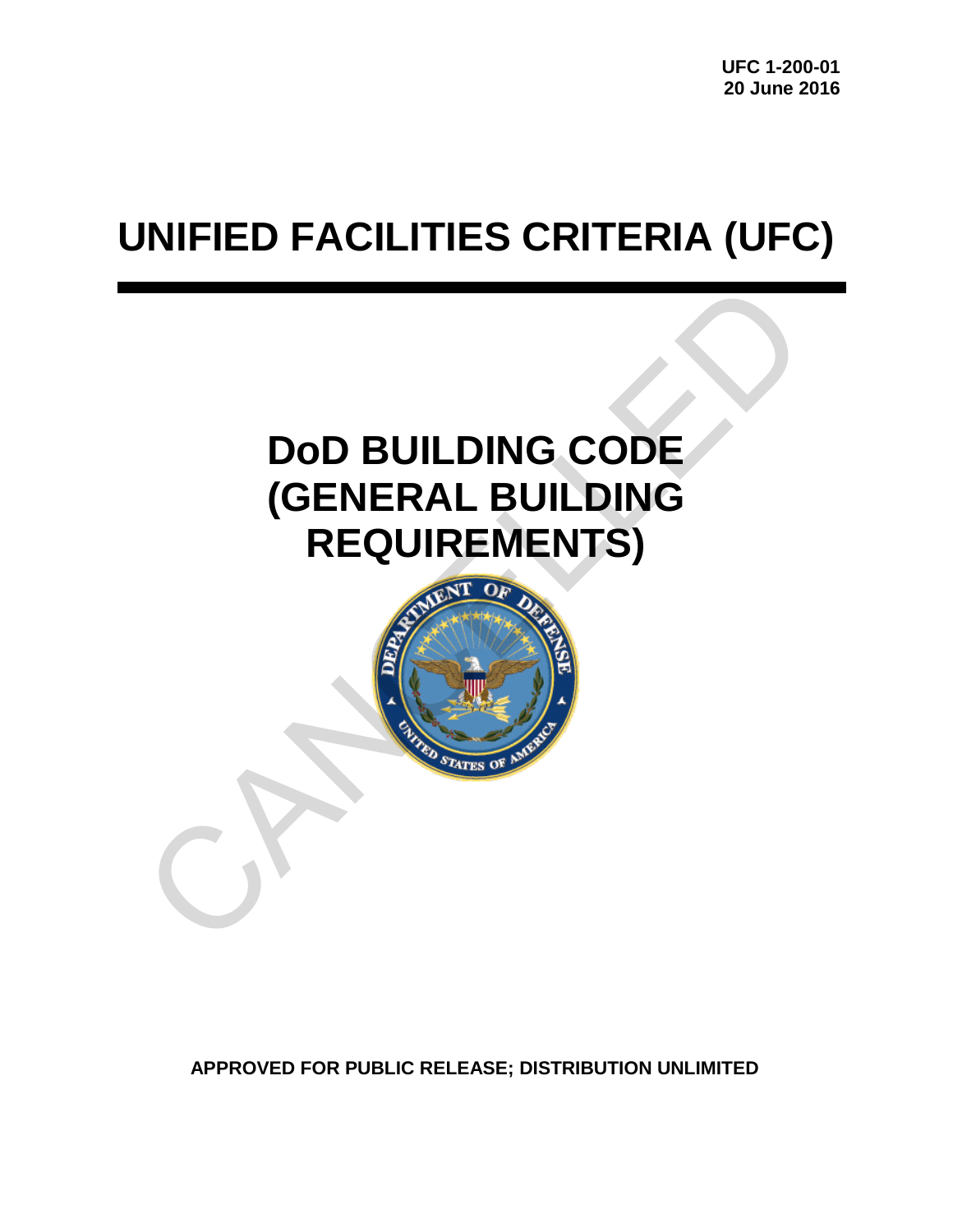# **UNIFIED FACILITIES CRITERIA (UFC)**

# **DoD BUILDING CODE (GENERAL BUILDING REQUIREMENTS)** DoD BUILDING CODE<br>(GENERAL BUILDING<br>REQUIREMENTS)



**APPROVED FOR PUBLIC RELEASE; DISTRIBUTION UNLIMITED**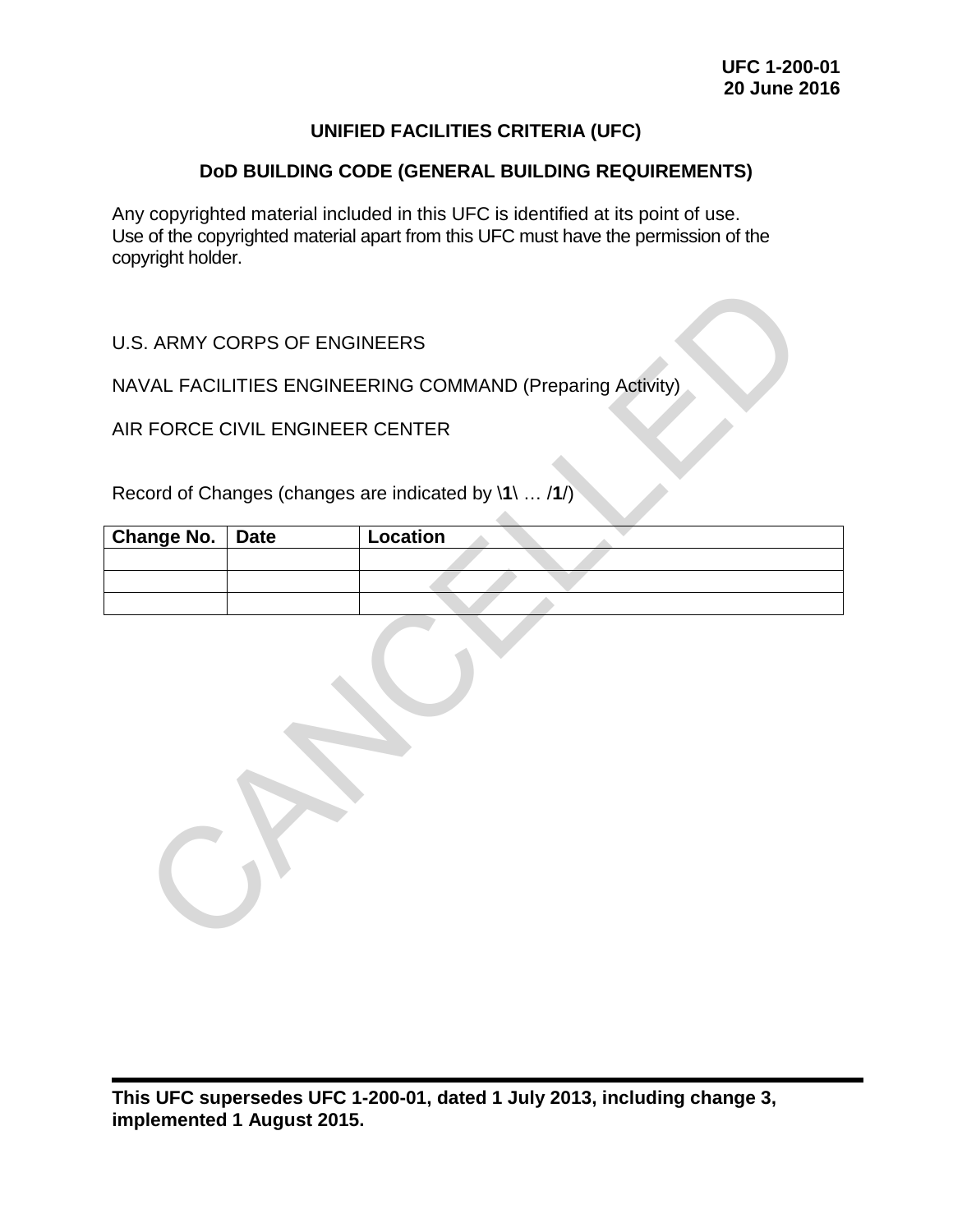#### **UNIFIED FACILITIES CRITERIA (UFC)**

#### **DoD BUILDING CODE (GENERAL BUILDING REQUIREMENTS)**

Any copyrighted material included in this UFC is identified at its point of use. Use of the copyrighted material apart from this UFC must have the permission of the copyright holder.

|                                                           | <b>U.S. ARMY CORPS OF ENGINEERS</b> |          |  |
|-----------------------------------------------------------|-------------------------------------|----------|--|
| NAVAL FACILITIES ENGINEERING COMMAND (Preparing Activity) |                                     |          |  |
| AIR FORCE CIVIL ENGINEER CENTER                           |                                     |          |  |
| Record of Changes (changes are indicated by \1\  /1/)     |                                     |          |  |
| Change No.                                                | <b>Date</b>                         | Location |  |
|                                                           |                                     |          |  |
|                                                           |                                     |          |  |

**This UFC supersedes UFC 1-200-01, dated 1 July 2013, including change 3, implemented 1 August 2015.**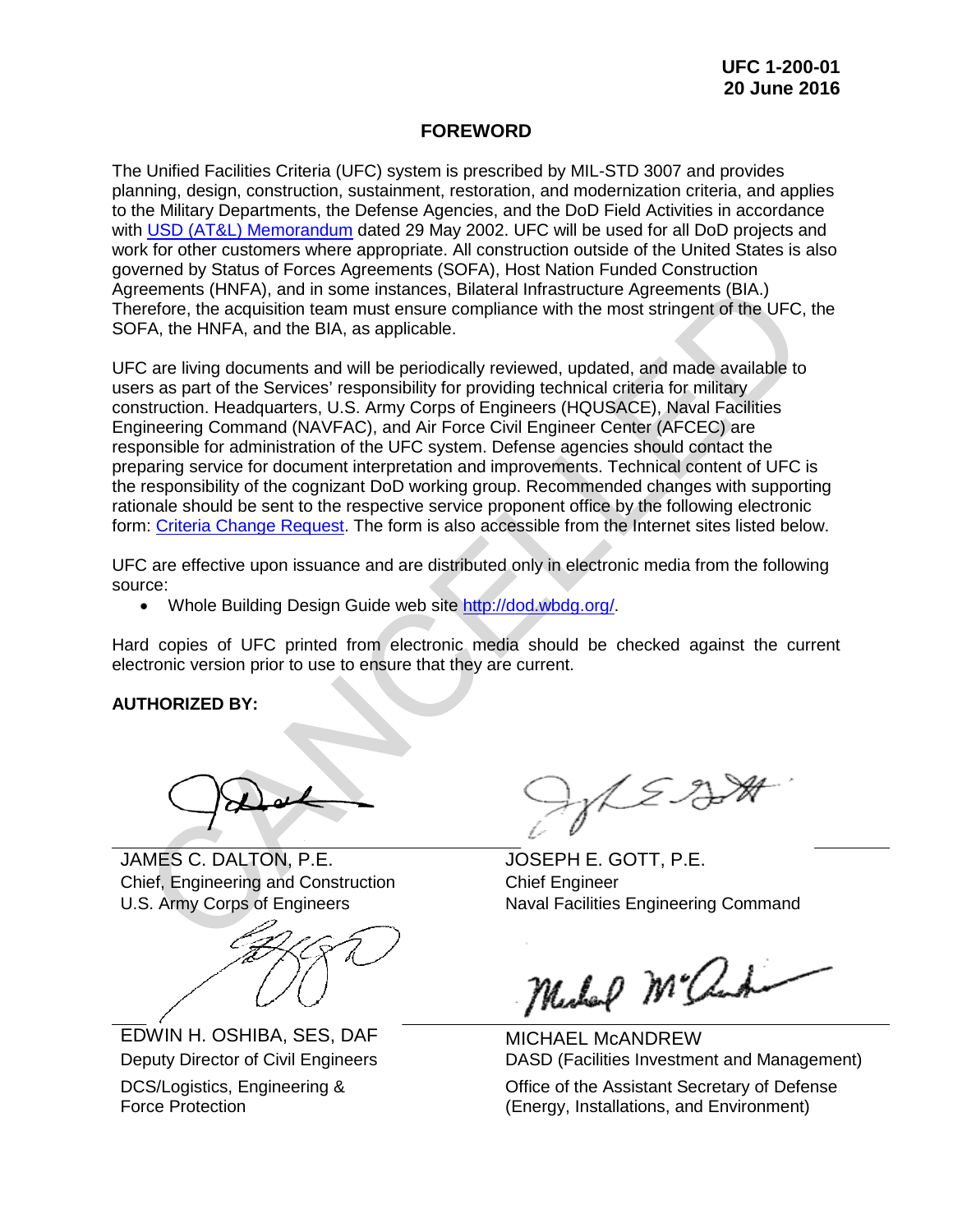#### **FOREWORD**

The Unified Facilities Criteria (UFC) system is prescribed by MIL-STD 3007 and provides planning, design, construction, sustainment, restoration, and modernization criteria, and applies to the Military Departments, the Defense Agencies, and the DoD Field Activities in accordance with [USD \(AT&L\) Memorandum](http://www.wbdg.org/pdfs/ufc_implementation.pdf) dated 29 May 2002. UFC will be used for all DoD projects and work for other customers where appropriate. All construction outside of the United States is also governed by Status of Forces Agreements (SOFA), Host Nation Funded Construction Agreements (HNFA), and in some instances, Bilateral Infrastructure Agreements (BIA.) Therefore, the acquisition team must ensure compliance with the most stringent of the UFC, the SOFA, the HNFA, and the BIA, as applicable.

UFC are living documents and will be periodically reviewed, updated, and made available to users as part of the Services' responsibility for providing technical criteria for military construction. Headquarters, U.S. Army Corps of Engineers (HQUSACE), Naval Facilities Engineering Command (NAVFAC), and Air Force Civil Engineer Center (AFCEC) are responsible for administration of the UFC system. Defense agencies should contact the preparing service for document interpretation and improvements. Technical content of UFC is the responsibility of the cognizant DoD working group. Recommended changes with supporting rationale should be sent to the respective service proponent office by the following electronic form: Criteria Change Request. The form is also accessible from the Internet sites listed below. eements (HIKFA), and in some instances, Bilateral Infrastructure Agreements (BIA, I)<br>refore, the acquisition team must ensure compliance with the most stringent of the UFC,<br>FA, the HNFA, and the BIA, as applicable.<br>Care li

UFC are effective upon issuance and are distributed only in electronic media from the following source:

• Whole Building Design Guide web site http://dod.wbdg.org/.

Hard copies of UFC printed from electronic media should be checked against the current electronic version prior to use to ensure that they are current.

#### **AUTHORIZED BY:**

JAMES C. DALTON, P.E. JOSEPH E. GOTT, P.E. Chief, Engineering and Construction Chief Engineer



EDWIN H. OSHIBA, SES, DAF MICHAEL MCANDREW

DCS/Logistics, Engineering & Force Protection

U.S. Army Corps of Engineers **Naval Facilities Engineering Command** 

Medal McCah

Deputy Director of Civil Engineers DASD (Facilities Investment and Management)

Office of the Assistant Secretary of Defense (Energy, Installations, and Environment)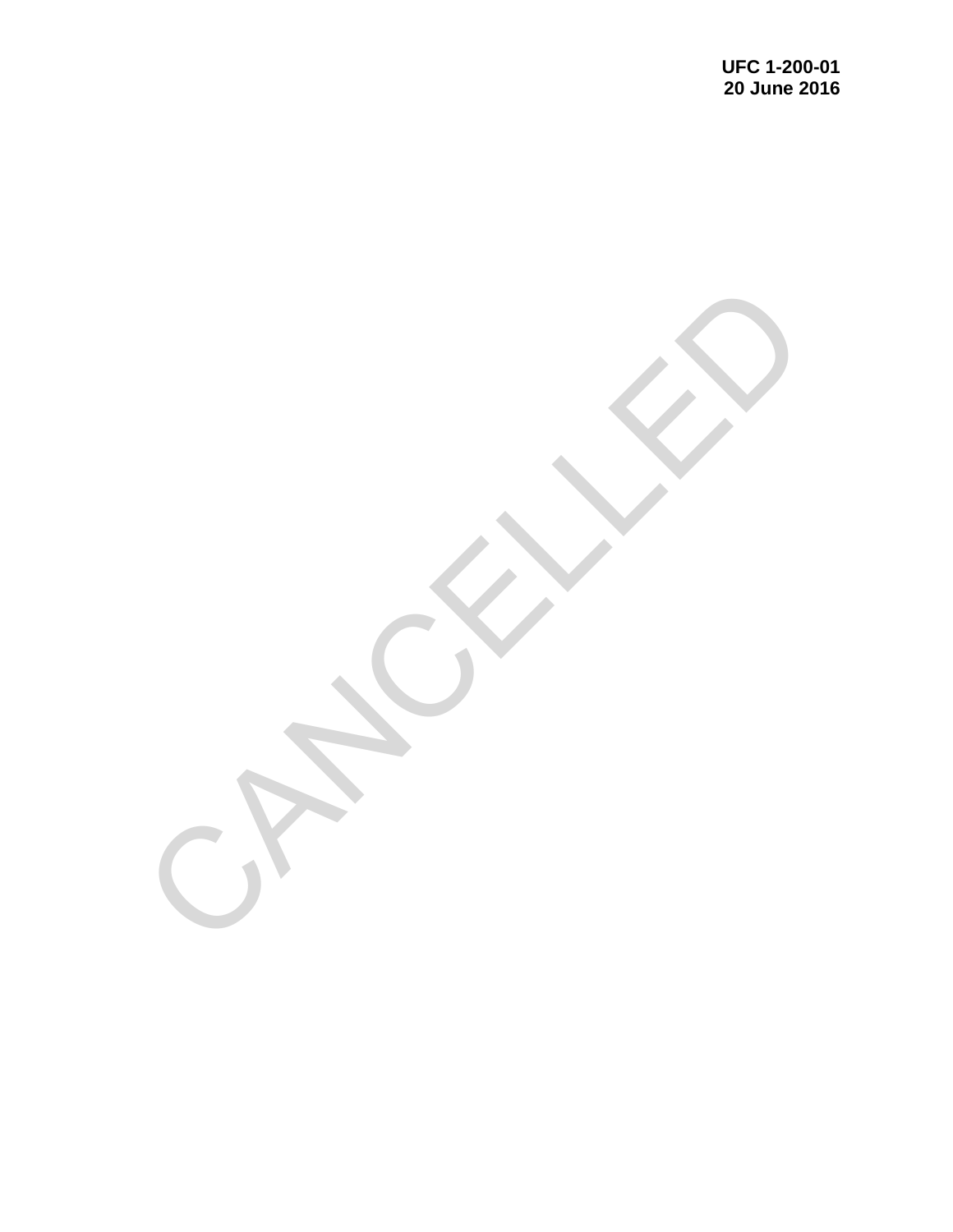CANCELLED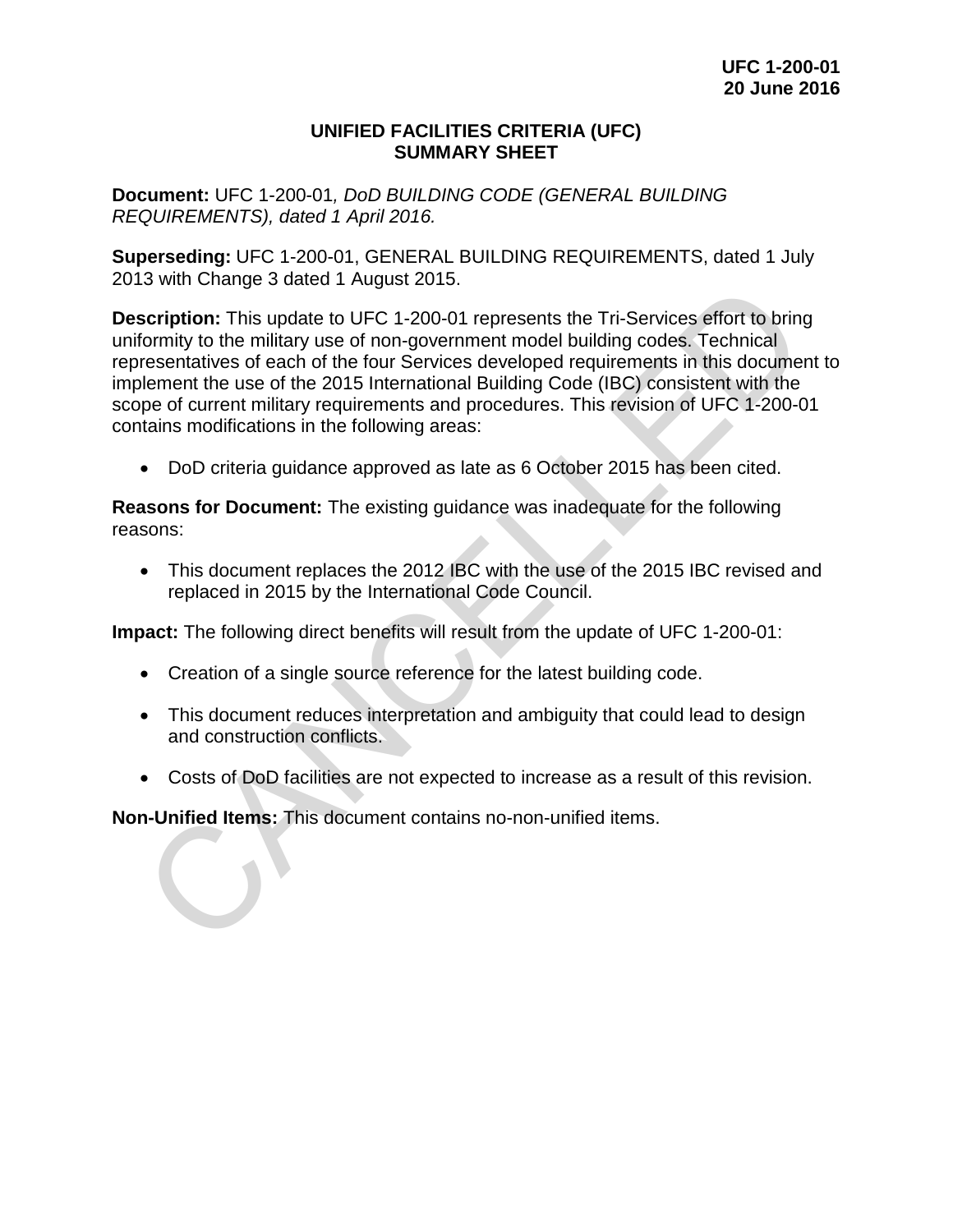#### **UNIFIED FACILITIES CRITERIA (UFC) SUMMARY SHEET**

**Document:** UFC 1-200-01*, DoD BUILDING CODE (GENERAL BUILDING REQUIREMENTS), dated 1 April 2016.*

**Superseding:** UFC 1-200-01, GENERAL BUILDING REQUIREMENTS, dated 1 July 2013 with Change 3 dated 1 August 2015.

**Description:** This update to UFC 1-200-01 represents the Tri-Services effort to bring uniformity to the military use of non-government model building codes. Technical representatives of each of the four Services developed requirements in this document to implement the use of the 2015 International Building Code (IBC) consistent with the scope of current military requirements and procedures. This revision of UFC 1-200-01 contains modifications in the following areas: or and the matter of the total of the Tri-Services effort to bring<br>
scription: This update to UFC 1-200-01 represents the Tri-Services effort to bring<br>
commity to the military use of non-government model building codes. Te

• DoD criteria guidance approved as late as 6 October 2015 has been cited.

**Reasons for Document:** The existing guidance was inadequate for the following reasons:

• This document replaces the 2012 IBC with the use of the 2015 IBC revised and replaced in 2015 by the International Code Council.

**Impact:** The following direct benefits will result from the update of UFC 1-200-01:

- Creation of a single source reference for the latest building code.
- This document reduces interpretation and ambiguity that could lead to design and construction conflicts.
- Costs of DoD facilities are not expected to increase as a result of this revision.

**Non-Unified Items:** This document contains no-non-unified items.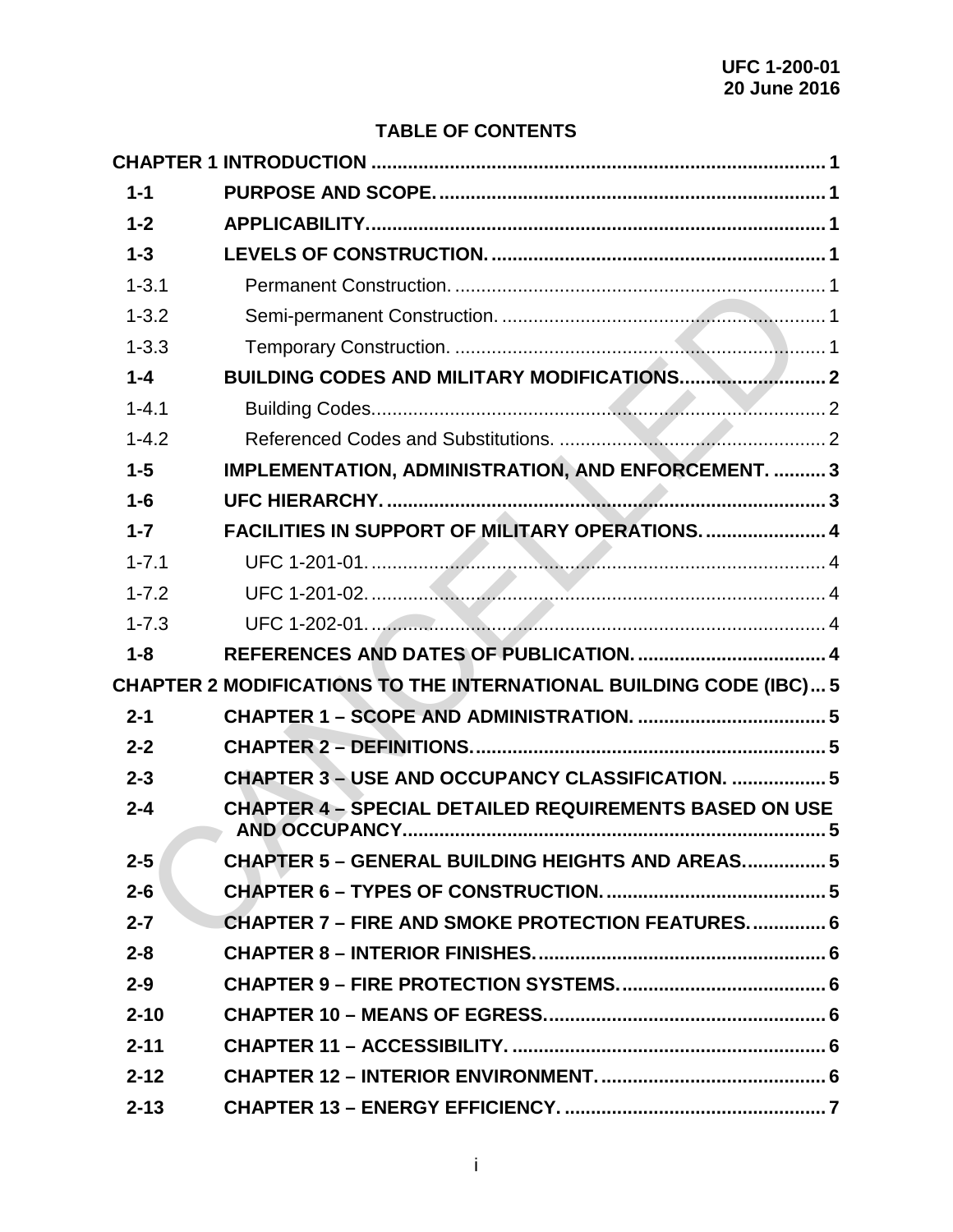#### **TABLE OF CONTENTS**

| $1 - 1$   |                                                                    |
|-----------|--------------------------------------------------------------------|
| $1 - 2$   |                                                                    |
| $1 - 3$   |                                                                    |
| $1 - 3.1$ |                                                                    |
| $1 - 3.2$ |                                                                    |
| $1 - 3.3$ |                                                                    |
| $1 - 4$   |                                                                    |
| $1 - 4.1$ |                                                                    |
| $1 - 4.2$ |                                                                    |
| $1 - 5$   | IMPLEMENTATION, ADMINISTRATION, AND ENFORCEMENT.  3                |
| $1 - 6$   |                                                                    |
| $1 - 7$   | <b>FACILITIES IN SUPPORT OF MILITARY OPERATIONS.  4</b>            |
| $1 - 7.1$ |                                                                    |
| $1 - 7.2$ |                                                                    |
| $1 - 7.3$ |                                                                    |
| $1 - 8$   |                                                                    |
|           | CHAPTER 2 MODIFICATIONS TO THE INTERNATIONAL BUILDING CODE (IBC) 5 |
| $2 - 1$   |                                                                    |
| $2 - 2$   |                                                                    |
| $2 - 3$   | <b>CHAPTER 3 - USE AND OCCUPANCY CLASSIFICATION.  5</b>            |
| $2 - 4$   | <b>CHAPTER 4 - SPECIAL DETAILED REQUIREMENTS BASED ON USE</b>      |
| $2 - 5$   | <b>CHAPTER 5 - GENERAL BUILDING HEIGHTS AND AREAS5</b>             |
| $2 - 6$   |                                                                    |
| $2 - 7$   | <b>CHAPTER 7 - FIRE AND SMOKE PROTECTION FEATURES 6</b>            |
| $2 - 8$   |                                                                    |
| $2 - 9$   |                                                                    |
| $2 - 10$  |                                                                    |
| $2 - 11$  |                                                                    |
| $2 - 12$  |                                                                    |
| $2 - 13$  |                                                                    |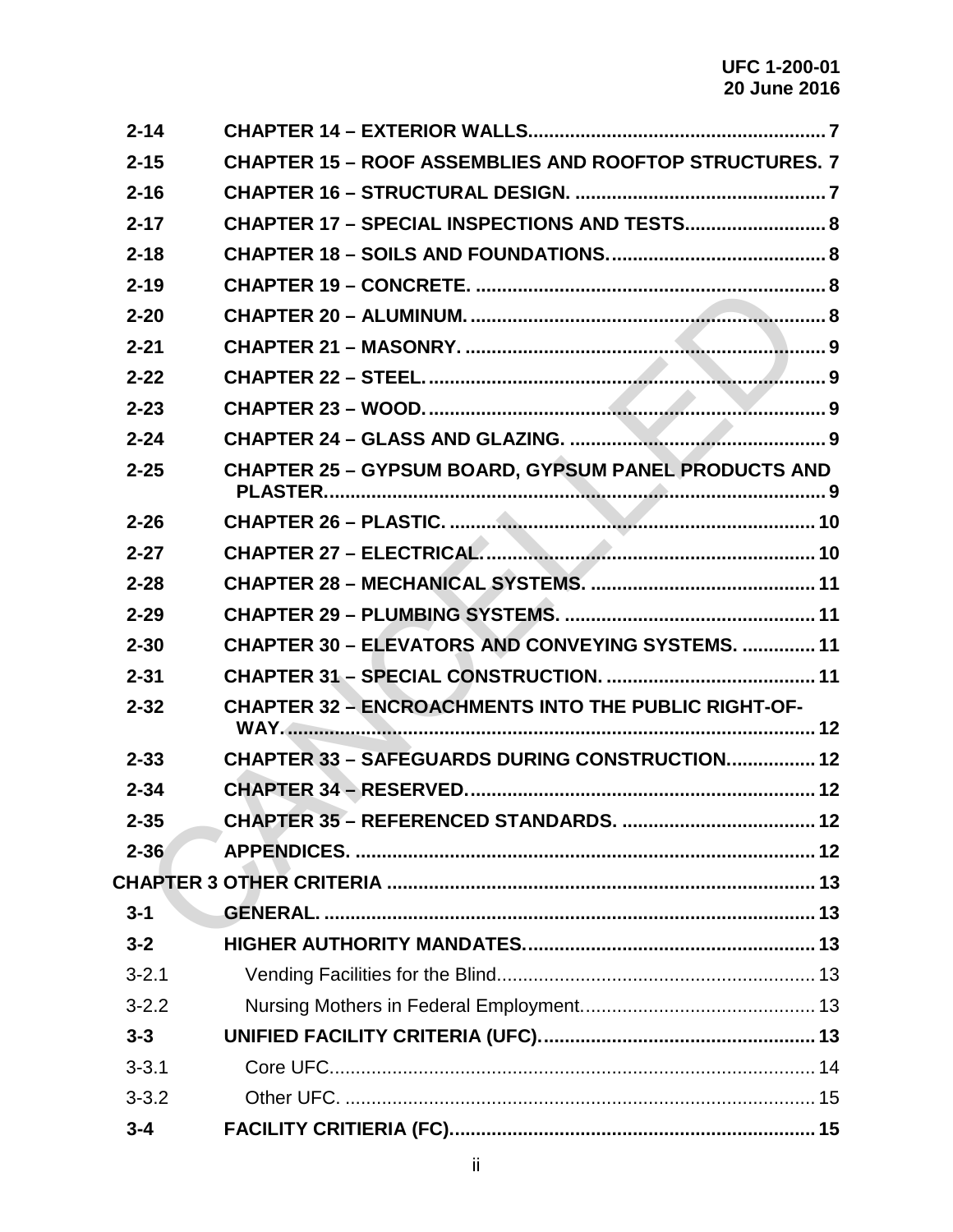| $2 - 14$  |                                                               |  |
|-----------|---------------------------------------------------------------|--|
| $2 - 15$  | <b>CHAPTER 15 - ROOF ASSEMBLIES AND ROOFTOP STRUCTURES. 7</b> |  |
| $2 - 16$  |                                                               |  |
| $2 - 17$  | CHAPTER 17 - SPECIAL INSPECTIONS AND TESTS 8                  |  |
| $2 - 18$  |                                                               |  |
| $2 - 19$  |                                                               |  |
| $2 - 20$  |                                                               |  |
| $2 - 21$  |                                                               |  |
| $2 - 22$  |                                                               |  |
| $2 - 23$  |                                                               |  |
| $2 - 24$  |                                                               |  |
| $2 - 25$  | <b>CHAPTER 25 - GYPSUM BOARD, GYPSUM PANEL PRODUCTS AND</b>   |  |
| $2 - 26$  |                                                               |  |
| $2 - 27$  |                                                               |  |
| $2 - 28$  |                                                               |  |
| $2 - 29$  |                                                               |  |
| $2 - 30$  | CHAPTER 30 - ELEVATORS AND CONVEYING SYSTEMS.  11             |  |
| $2 - 31$  |                                                               |  |
| $2 - 32$  | <b>CHAPTER 32 - ENCROACHMENTS INTO THE PUBLIC RIGHT-OF-</b>   |  |
| $2 - 33$  | CHAPTER 33 - SAFEGUARDS DURING CONSTRUCTION 12                |  |
| $2 - 34$  |                                                               |  |
| $2 - 35$  |                                                               |  |
| $2 - 36$  |                                                               |  |
|           | CHAPTER 3 OTHER CRITERIA …………………………………………………………………………… 13     |  |
| $3 - 1$   |                                                               |  |
| $3 - 2$   |                                                               |  |
| $3 - 2.1$ |                                                               |  |
| $3 - 2.2$ |                                                               |  |
| $3 - 3$   |                                                               |  |
| $3 - 3.1$ |                                                               |  |
| $3 - 3.2$ |                                                               |  |
| $3 - 4$   |                                                               |  |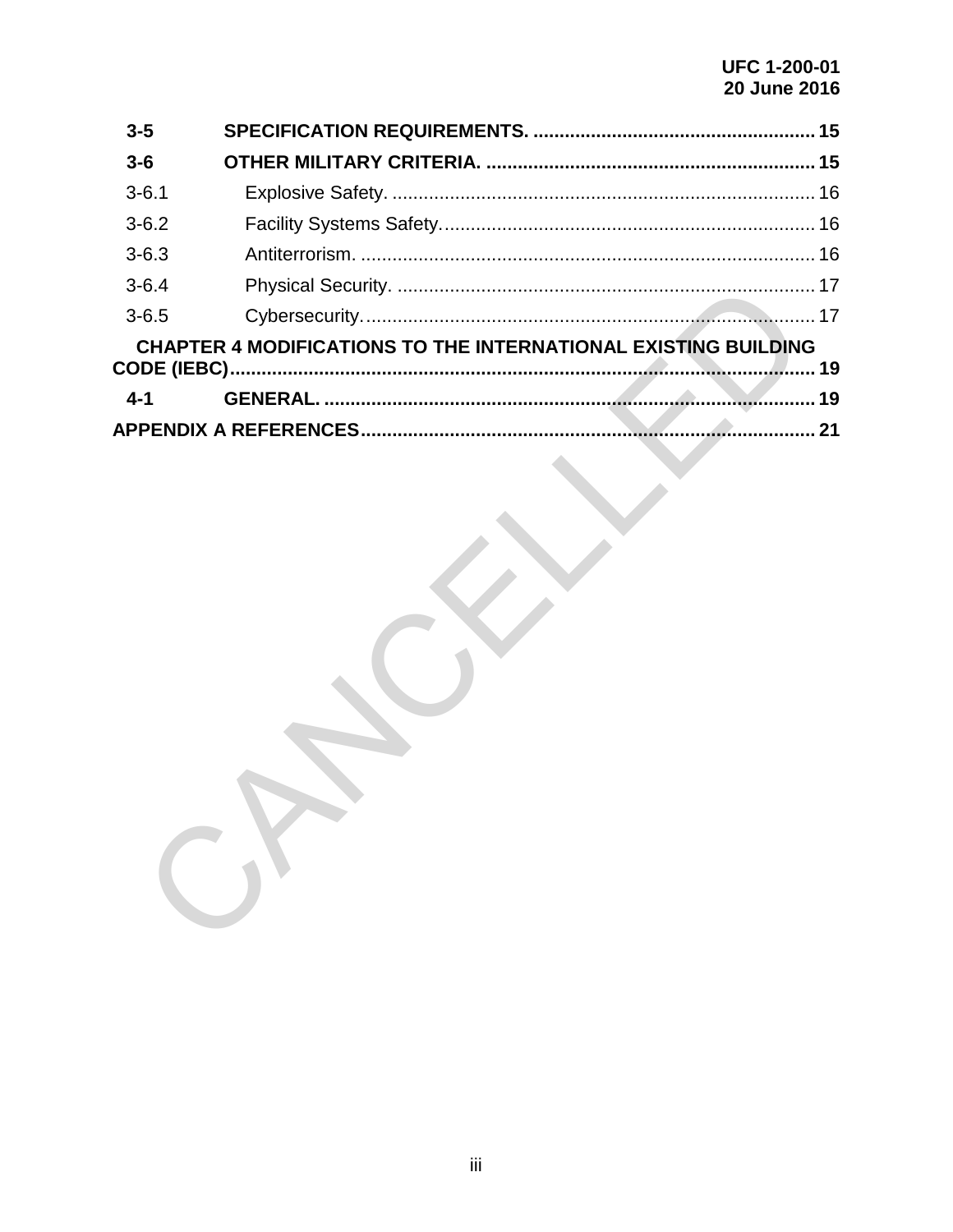| $3 - 5$                                                               |  |  |  |
|-----------------------------------------------------------------------|--|--|--|
| $3 - 6$                                                               |  |  |  |
| $3 - 6.1$                                                             |  |  |  |
| $3-6.2$                                                               |  |  |  |
| $3 - 6.3$                                                             |  |  |  |
| $3 - 6.4$                                                             |  |  |  |
| $3 - 6.5$                                                             |  |  |  |
| <b>CHAPTER 4 MODIFICATIONS TO THE INTERNATIONAL EXISTING BUILDING</b> |  |  |  |
|                                                                       |  |  |  |
| $4-1$                                                                 |  |  |  |
| 21                                                                    |  |  |  |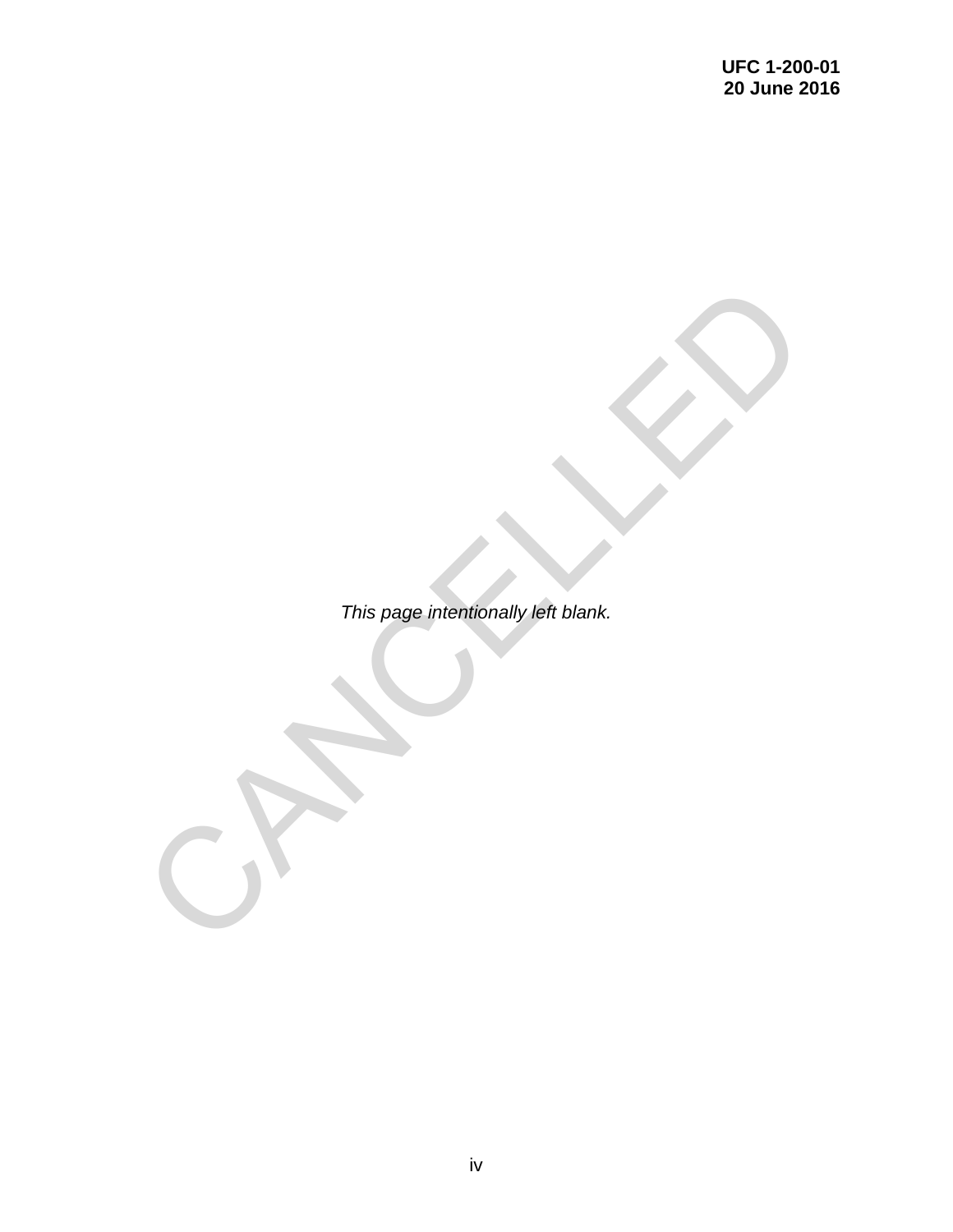*This page intentionally left blank.* This page intentionally left blank.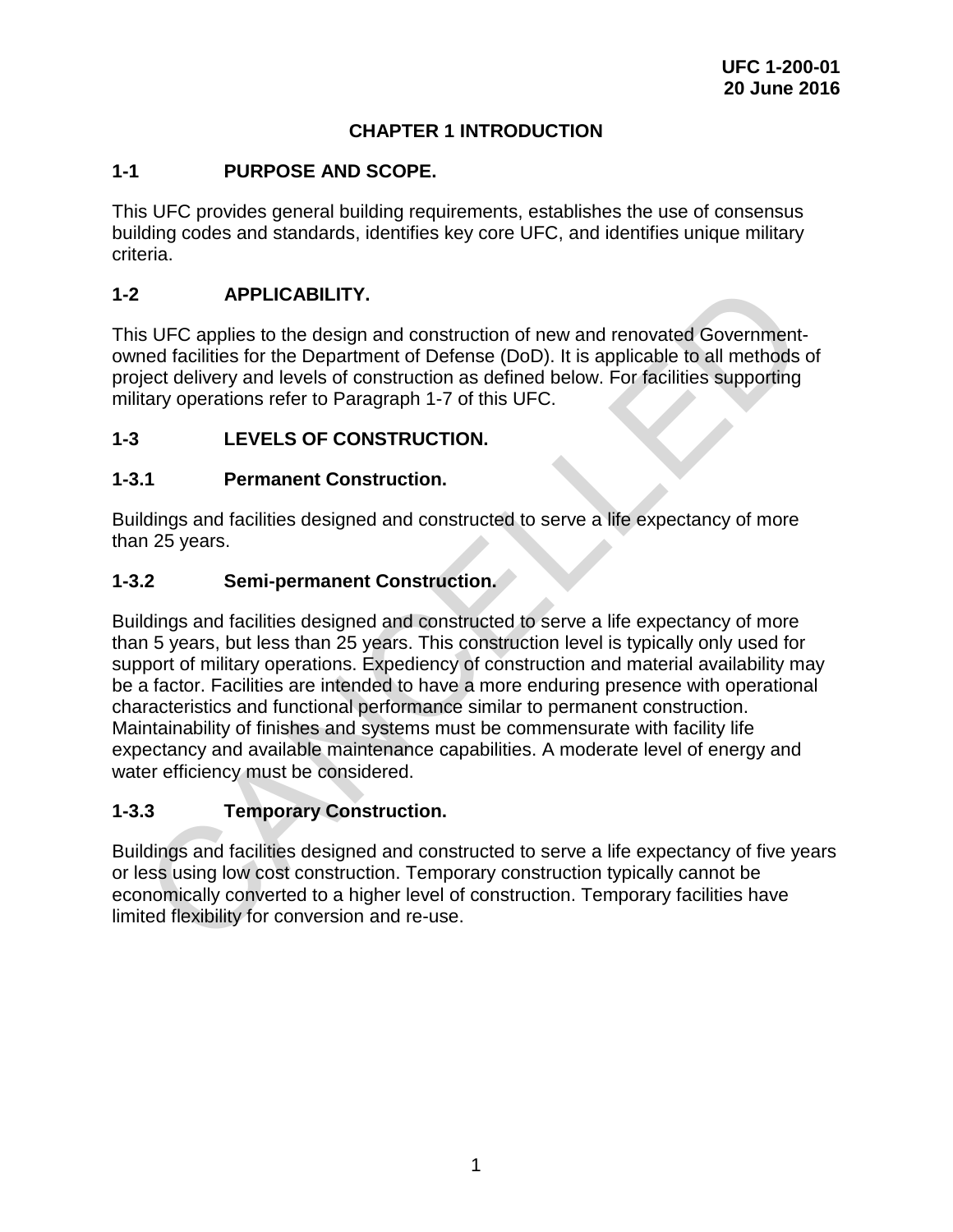#### **CHAPTER 1 INTRODUCTION**

#### <span id="page-9-1"></span><span id="page-9-0"></span>**1-1 PURPOSE AND SCOPE.**

This UFC provides general building requirements, establishes the use of consensus building codes and standards, identifies key core UFC, and identifies unique military criteria.

#### **1-2 APPLICABILITY.**

This UFC applies to the design and construction of new and renovated Governmentowned facilities for the Department of Defense (DoD). It is applicable to all methods of project delivery and levels of construction as defined below. For facilities supporting military operations refer to Paragraph 1-7 of this UFC.

#### <span id="page-9-3"></span>**1-3 LEVELS OF CONSTRUCTION.**

#### <span id="page-9-4"></span>**1-3.1 Permanent Construction.**

Buildings and facilities designed and constructed to serve a life expectancy of more than 25 years.

#### <span id="page-9-5"></span>**1-3.2 Semi-permanent Construction.**

<span id="page-9-2"></span>Buildings and facilities designed and constructed to serve a life expectancy of more than 5 years, but less than 25 years. This construction level is typically only used for support of military operations. Expediency of construction and material availability may be a factor. Facilities are intended to have a more enduring presence with operational characteristics and functional performance similar to permanent construction. Maintainability of finishes and systems must be commensurate with facility life expectancy and available maintenance capabilities. A moderate level of energy and water efficiency must be considered. **APPLICABILITY.**<br>
SUFC applies to the design and construction of new and renovated Government-<br>
eict delivies for the Department of Defense (DoD). It is applicable to all methods<br>
tiert delivery and levels of construction

#### <span id="page-9-6"></span>**1-3.3 Temporary Construction.**

Buildings and facilities designed and constructed to serve a life expectancy of five years or less using low cost construction. Temporary construction typically cannot be economically converted to a higher level of construction. Temporary facilities have limited flexibility for conversion and re-use.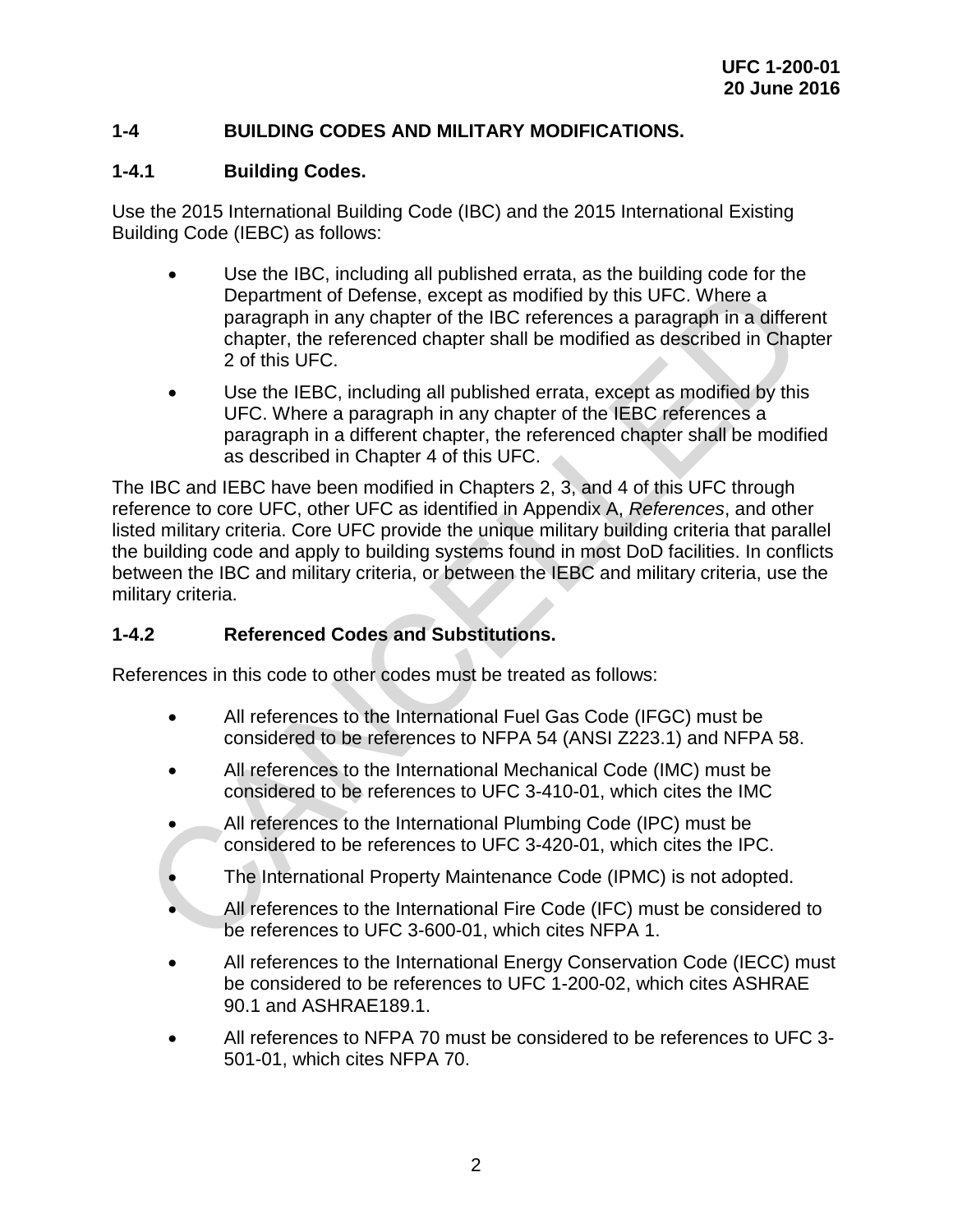#### <span id="page-10-0"></span>**1-4 BUILDING CODES AND MILITARY MODIFICATIONS.**

#### <span id="page-10-1"></span>**1-4.1 Building Codes.**

Use the 2015 International Building Code (IBC) and the 2015 International Existing Building Code (IEBC) as follows:

- Use the IBC, including all published errata, as the building code for the Department of Defense, except as modified by this UFC. Where a paragraph in any chapter of the IBC references a paragraph in a different chapter, the referenced chapter shall be modified as described in Chapter 2 of this UFC.
- Use the IEBC, including all published errata, except as modified by this UFC. Where a paragraph in any chapter of the IEBC references a paragraph in a different chapter, the referenced chapter shall be modified as described in Chapter 4 of this UFC.

The IBC and IEBC have been modified in Chapters 2, 3, and 4 of this UFC through reference to core UFC, other UFC as identified in Appendix A, *References*, and other listed military criteria. Core UFC provide the unique military building criteria that parallel the building code and apply to building systems found in most DoD facilities. In conflicts between the IBC and military criteria, or between the IEBC and military criteria, use the military criteria. Department of Defense, except as modified by this UFC. Where a<br>paragraph in any chapter of the IBC references a paragraph in a different<br>chapter, the referenced chapter shall be modified as described in Chapter<br>2 of this U

#### <span id="page-10-2"></span>**1-4.2 Referenced Codes and Substitutions.**

References in this code to other codes must be treated as follows:

- All references to the International Fuel Gas Code (IFGC) must be considered to be references to NFPA 54 (ANSI Z223.1) and NFPA 58.
- All references to the International Mechanical Code (IMC) must be considered to be references to UFC 3-410-01, which cites the IMC
- All references to the International Plumbing Code (IPC) must be considered to be references to UFC 3-420-01, which cites the IPC.
- The International Property Maintenance Code (IPMC) is not adopted.
- All references to the International Fire Code (IFC) must be considered to be references to UFC 3-600-01, which cites NFPA 1.
- All references to the International Energy Conservation Code (IECC) must be considered to be references to UFC 1-200-02, which cites ASHRAE 90.1 and ASHRAE189.1.
- All references to NFPA 70 must be considered to be references to UFC 3- 501-01, which cites NFPA 70.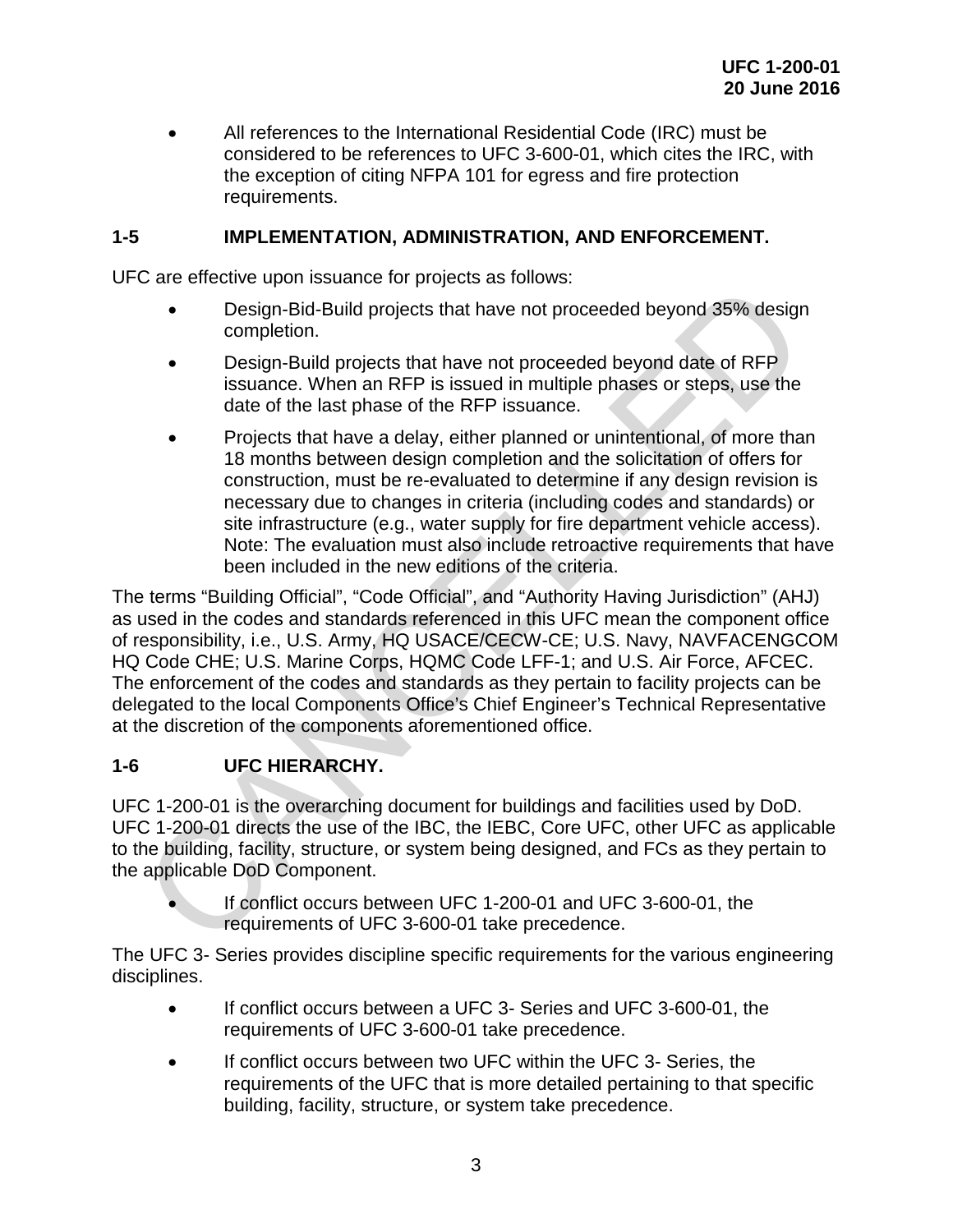• All references to the International Residential Code (IRC) must be considered to be references to UFC 3-600-01, which cites the IRC, with the exception of citing NFPA 101 for egress and fire protection requirements.

#### <span id="page-11-0"></span>**1-5 IMPLEMENTATION, ADMINISTRATION, AND ENFORCEMENT.**

UFC are effective upon issuance for projects as follows:

- Design-Bid-Build projects that have not proceeded beyond 35% design completion.
- Design-Build projects that have not proceeded beyond date of RFP issuance. When an RFP is issued in multiple phases or steps, use the date of the last phase of the RFP issuance.
- Projects that have a delay, either planned or unintentional, of more than 18 months between design completion and the solicitation of offers for construction, must be re-evaluated to determine if any design revision is necessary due to changes in criteria (including codes and standards) or site infrastructure (e.g., water supply for fire department vehicle access). Note: The evaluation must also include retroactive requirements that have been included in the new editions of the criteria.

The terms "Building Official", "Code Official", and "Authority Having Jurisdiction" (AHJ) as used in the codes and standards referenced in this UFC mean the component office of responsibility, i.e., U.S. Army, HQ USACE/CECW-CE; U.S. Navy, NAVFACENGCOM HQ Code CHE; U.S. Marine Corps, HQMC Code LFF-1; and U.S. Air Force, AFCEC. The enforcement of the codes and standards as they pertain to facility projects can be delegated to the local Components Office's Chief Engineer's Technical Representative at the discretion of the components aforementioned office. CANCELLED

# <span id="page-11-1"></span>**1-6 UFC HIERARCHY.**

UFC 1-200-01 is the overarching document for buildings and facilities used by DoD. UFC 1-200-01 directs the use of the IBC, the IEBC, Core UFC, other UFC as applicable to the building, facility, structure, or system being designed, and FCs as they pertain to the applicable DoD Component.

If conflict occurs between UFC 1-200-01 and UFC 3-600-01, the requirements of UFC 3-600-01 take precedence.

The UFC 3- Series provides discipline specific requirements for the various engineering disciplines.

- If conflict occurs between a UFC 3- Series and UFC 3-600-01, the requirements of UFC 3-600-01 take precedence.
- If conflict occurs between two UFC within the UFC 3- Series, the requirements of the UFC that is more detailed pertaining to that specific building, facility, structure, or system take precedence.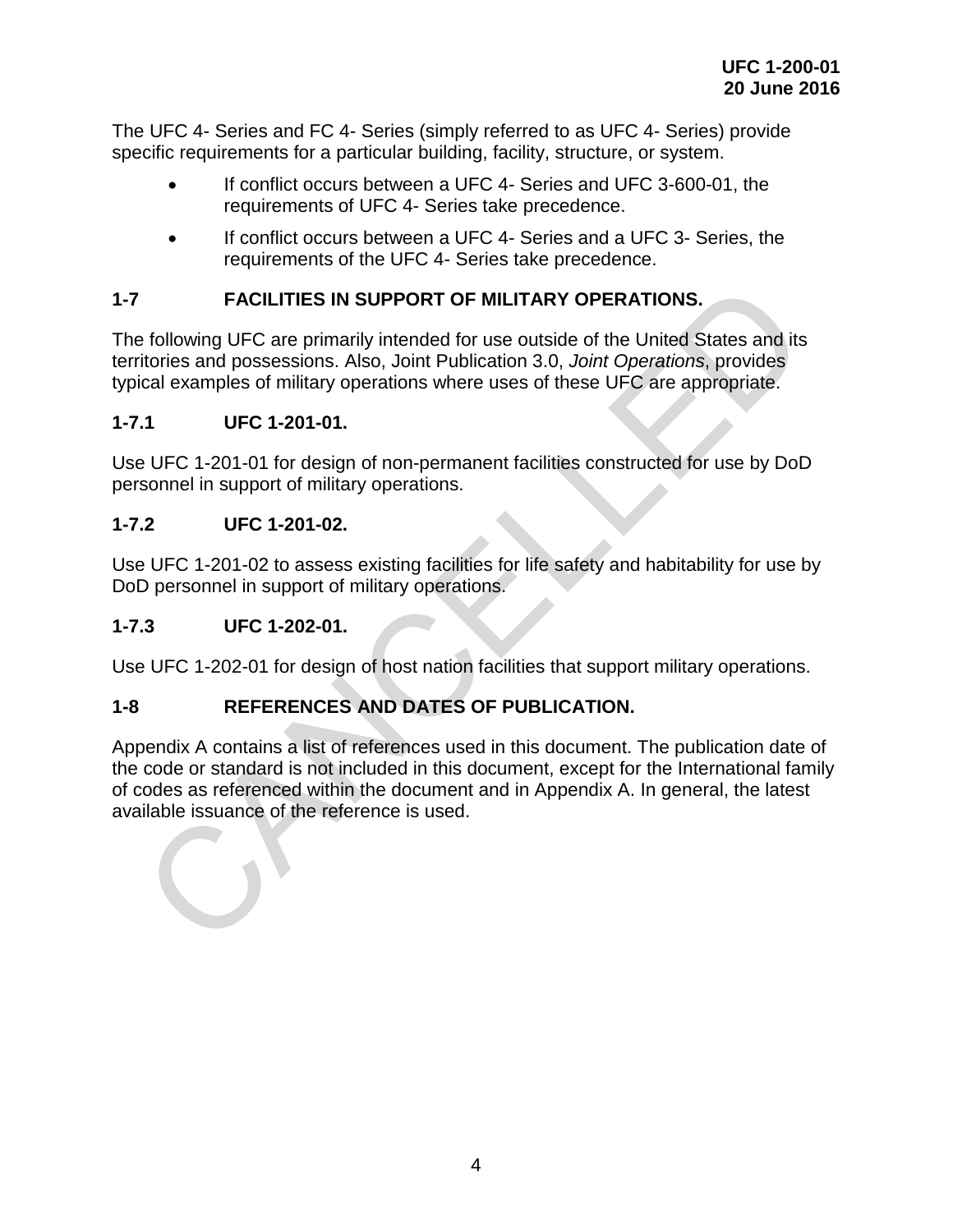The UFC 4- Series and FC 4- Series (simply referred to as UFC 4- Series) provide specific requirements for a particular building, facility, structure, or system.

- If conflict occurs between a UFC 4- Series and UFC 3-600-01, the requirements of UFC 4- Series take precedence.
- If conflict occurs between a UFC 4- Series and a UFC 3- Series, the requirements of the UFC 4- Series take precedence.

#### <span id="page-12-0"></span>**1-7 FACILITIES IN SUPPORT OF MILITARY OPERATIONS.**

The following UFC are primarily intended for use outside of the United States and its territories and possessions. Also, Joint Publication 3.0, *Joint Operations*, provides typical examples of military operations where uses of these UFC are appropriate.

#### <span id="page-12-1"></span>**1-7.1 UFC 1-201-01.**

Use UFC 1-201-01 for design of non-permanent facilities constructed for use by DoD personnel in support of military operations.

#### <span id="page-12-2"></span>**1-7.2 UFC 1-201-02.**

Use UFC 1-201-02 to assess existing facilities for life safety and habitability for use by DoD personnel in support of military operations.

#### <span id="page-12-3"></span>**1-7.3 UFC 1-202-01.**

Use UFC 1-202-01 for design of host nation facilities that support military operations.

#### <span id="page-12-4"></span>**1-8 REFERENCES AND DATES OF PUBLICATION.**

Appendix A contains a list of references used in this document. The publication date of the code or standard is not included in this document, except for the International family of codes as referenced within the document and in Appendix A. In general, the latest available issuance of the reference is used. FACILITIES IN SUPPORT OF MILITARY OPERATIONS.<br>
following UFC are primarlly intended for use outside of the United States and its<br>
titories and possessions. Also, Joint Publication 3.0, Joint Operations, provides<br>
cal examp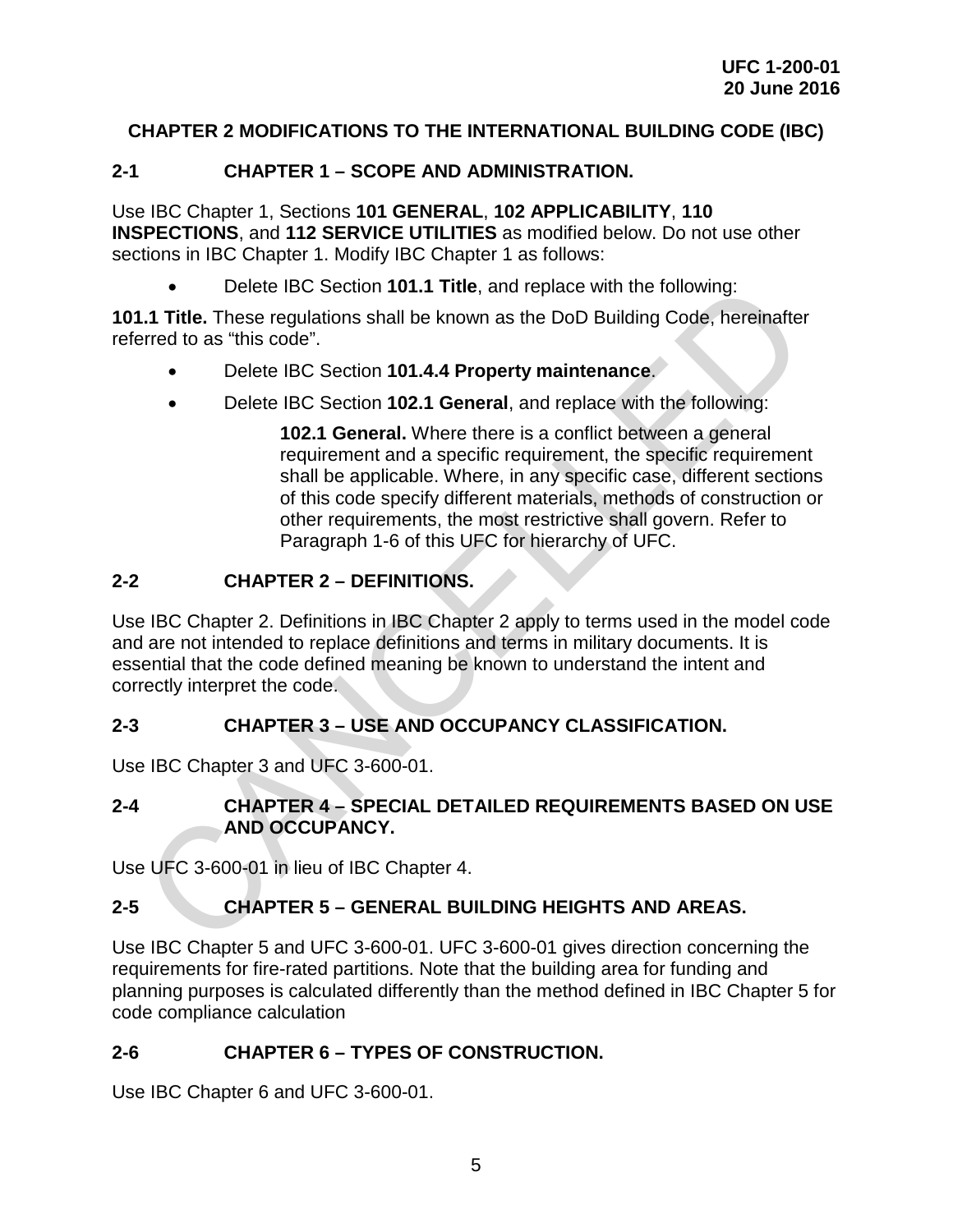#### <span id="page-13-0"></span>**CHAPTER 2 MODIFICATIONS TO THE INTERNATIONAL BUILDING CODE (IBC)**

#### <span id="page-13-1"></span>**2-1 CHAPTER 1 – SCOPE AND ADMINISTRATION.**

Use IBC Chapter 1, Sections **101 GENERAL**, **102 APPLICABILITY**, **110 INSPECTIONS**, and **112 SERVICE UTILITIES** as modified below. Do not use other sections in IBC Chapter 1. Modify IBC Chapter 1 as follows:

• Delete IBC Section **101.1 Title**, and replace with the following:

**101.1 Title.** These regulations shall be known as the DoD Building Code, hereinafter referred to as "this code".

- Delete IBC Section **101.4.4 Property maintenance**.
- Delete IBC Section **102.1 General**, and replace with the following:

**102.1 General.** Where there is a conflict between a general requirement and a specific requirement, the specific requirement shall be applicable. Where, in any specific case, different sections of this code specify different materials, methods of construction or other requirements, the most restrictive shall govern. Refer to Paragraph 1-6 of this UFC for hierarchy of UFC. • Delete IBC Section 101.1 Title, and replace with the following:<br>
1 Title. These regulations shall be known as the DoD Building Code, hereinafter<br>
First Chiese regulations shall be known as the DoD Building Code, herein

#### <span id="page-13-2"></span>**2-2 CHAPTER 2 – DEFINITIONS.**

Use IBC Chapter 2. Definitions in IBC Chapter 2 apply to terms used in the model code and are not intended to replace definitions and terms in military documents. It is essential that the code defined meaning be known to understand the intent and correctly interpret the code.

#### <span id="page-13-3"></span>**2-3 CHAPTER 3 – USE AND OCCUPANCY CLASSIFICATION.**

Use IBC Chapter 3 and UFC 3-600-01.

#### <span id="page-13-4"></span>**2-4 CHAPTER 4 – SPECIAL DETAILED REQUIREMENTS BASED ON USE AND OCCUPANCY.**

Use UFC 3-600-01 in lieu of IBC Chapter 4.

#### <span id="page-13-5"></span>**2-5 CHAPTER 5 – GENERAL BUILDING HEIGHTS AND AREAS.**

Use IBC Chapter 5 and UFC 3-600-01. UFC 3-600-01 gives direction concerning the requirements for fire-rated partitions. Note that the building area for funding and planning purposes is calculated differently than the method defined in IBC Chapter 5 for code compliance calculation

#### <span id="page-13-6"></span>**2-6 CHAPTER 6 – TYPES OF CONSTRUCTION.**

Use IBC Chapter 6 and UFC 3-600-01.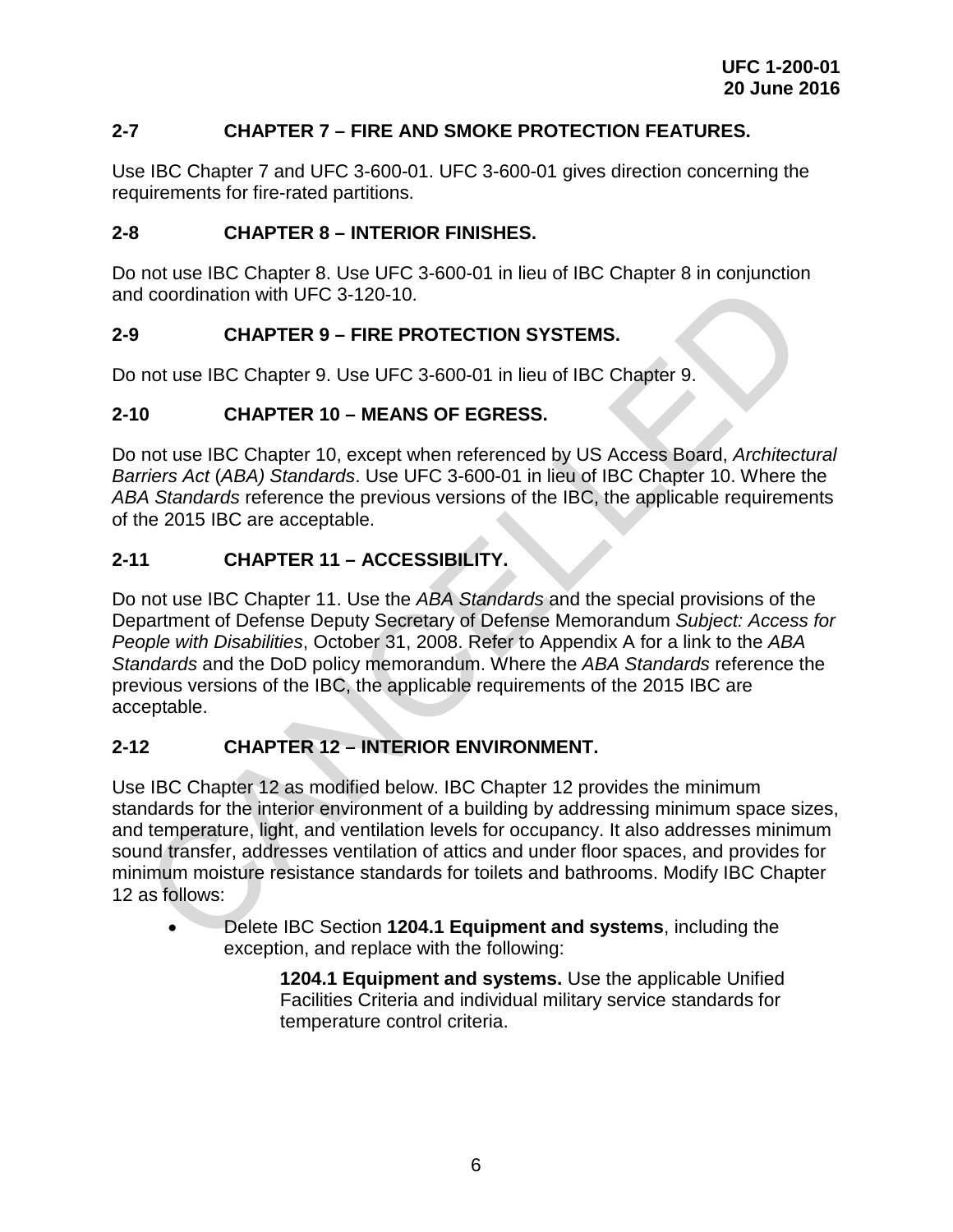#### <span id="page-14-0"></span>**2-7 CHAPTER 7 – FIRE AND SMOKE PROTECTION FEATURES.**

Use IBC Chapter 7 and UFC 3-600-01. UFC 3-600-01 gives direction concerning the requirements for fire-rated partitions.

#### <span id="page-14-1"></span>**2-8 CHAPTER 8 – INTERIOR FINISHES.**

Do not use IBC Chapter 8. Use UFC 3-600-01 in lieu of IBC Chapter 8 in conjunction and coordination with UFC 3-120-10.

# <span id="page-14-2"></span>**2-9 CHAPTER 9 – FIRE PROTECTION SYSTEMS.**

Do not use IBC Chapter 9. Use UFC 3-600-01 in lieu of IBC Chapter 9.

#### <span id="page-14-3"></span>**2-10 CHAPTER 10 – MEANS OF EGRESS.**

Do not use IBC Chapter 10, except when referenced by US Access Board, *Architectural Barriers Act* (*ABA) Standards*. Use UFC 3-600-01 in lieu of IBC Chapter 10. Where the *ABA Standards* reference the previous versions of the IBC, the applicable requirements of the 2015 IBC are acceptable.

# <span id="page-14-4"></span>**2-11 CHAPTER 11 – ACCESSIBILITY.**

Do not use IBC Chapter 11. Use the *ABA Standards* and the special provisions of the Department of Defense Deputy Secretary of Defense Memorandum *Subject: Access for People with Disabilities*, October 31, 2008. Refer to Appendix A for a link to the *ABA Standards* and the DoD policy memorandum. Where the *ABA Standards* reference the previous versions of the IBC, the applicable requirements of the 2015 IBC are acceptable. Condination with UFC 3-120-10.<br>
CHAPTER 9 – FIRE PROTECTION SYSTEMS.<br>
not use IBC Chapter 9. Use UFC 3-600-01 in lieu of IBC Chapter 9.<br>
0<br>
CHAPTER 10 – MEANS OF EGRESS.<br>
not use IBC Chapter 10, except when referenced by U

# <span id="page-14-5"></span>**2-12 CHAPTER 12 – INTERIOR ENVIRONMENT.**

Use IBC Chapter 12 as modified below. IBC Chapter 12 provides the minimum standards for the interior environment of a building by addressing minimum space sizes, and temperature, light, and ventilation levels for occupancy. It also addresses minimum sound transfer, addresses ventilation of attics and under floor spaces, and provides for minimum moisture resistance standards for toilets and bathrooms. Modify IBC Chapter 12 as follows:

• Delete IBC Section **1204.1 Equipment and systems**, including the exception, and replace with the following:

> **1204.1 Equipment and systems.** Use the applicable Unified Facilities Criteria and individual military service standards for temperature control criteria.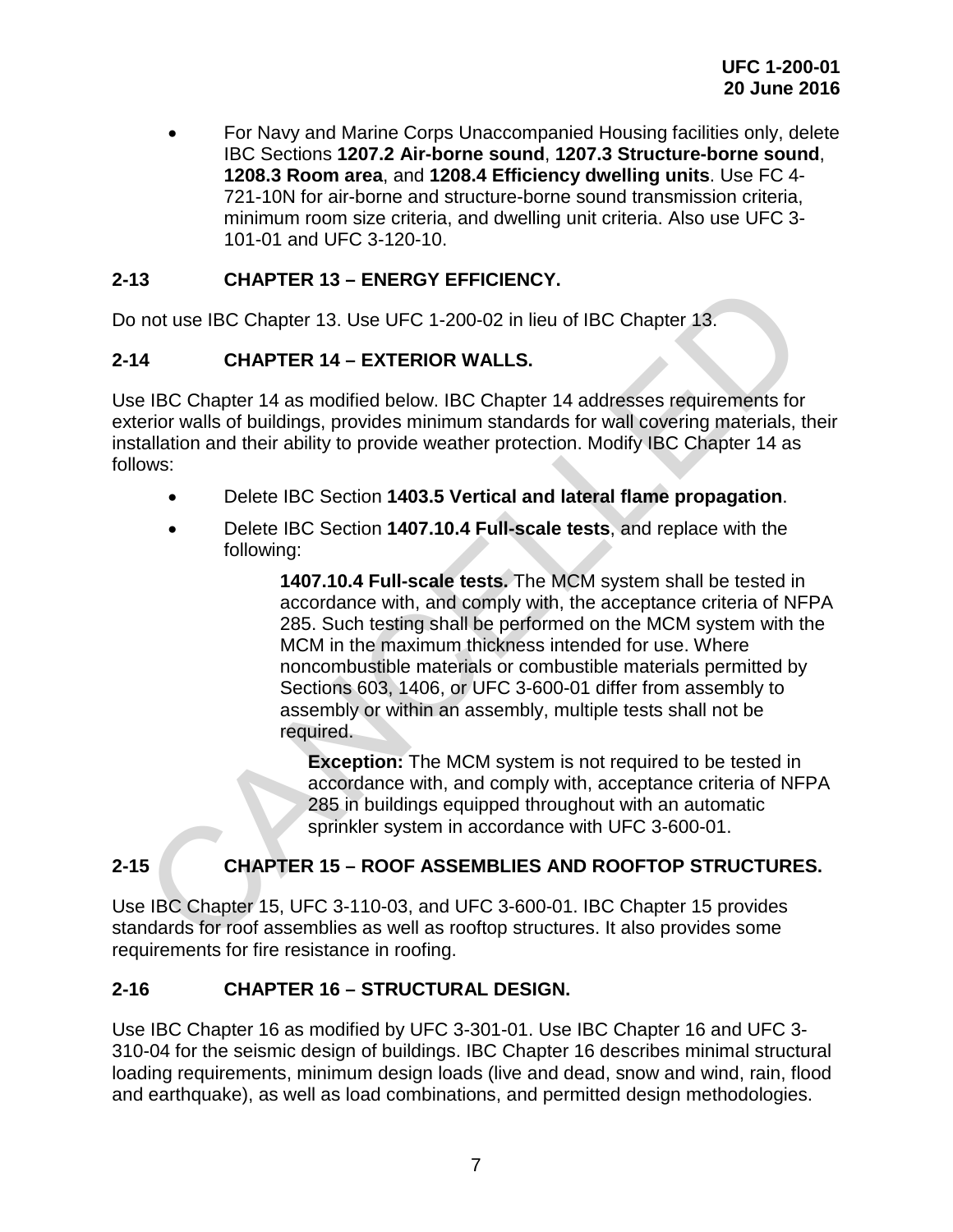• For Navy and Marine Corps Unaccompanied Housing facilities only, delete IBC Sections **1207.2 Air-borne sound**, **1207.3 Structure-borne sound**, **1208.3 Room area**, and **1208.4 Efficiency dwelling units**. Use FC 4- 721-10N for air-borne and structure-borne sound transmission criteria, minimum room size criteria, and dwelling unit criteria. Also use UFC 3- 101-01 and UFC 3-120-10.

#### <span id="page-15-0"></span>**2-13 CHAPTER 13 – ENERGY EFFICIENCY.**

Do not use IBC Chapter 13. Use UFC 1-200-02 in lieu of IBC Chapter 13.

#### <span id="page-15-1"></span>**2-14 CHAPTER 14 – EXTERIOR WALLS.**

Use IBC Chapter 14 as modified below. IBC Chapter 14 addresses requirements for exterior walls of buildings, provides minimum standards for wall covering materials, their installation and their ability to provide weather protection. Modify IBC Chapter 14 as follows:

- Delete IBC Section **1403.5 Vertical and lateral flame propagation**.
- Delete IBC Section **1407.10.4 Full-scale tests**, and replace with the following:

**1407.10.4 Full-scale tests.** The MCM system shall be tested in accordance with, and comply with, the acceptance criteria of NFPA 285. Such testing shall be performed on the MCM system with the MCM in the maximum thickness intended for use. Where noncombustible materials or combustible materials permitted by Sections 603, 1406, or UFC 3-600-01 differ from assembly to assembly or within an assembly, multiple tests shall not be required. oritical LER 13 – LERINCH LETTENLINGT:<br>
19 – LERINCH LETTENLINGT:<br>
4 – CHAPTER 14 – EXTERIOR WALLS.<br>
19 EC Chapter 14 as modified below. IBC Chapter 14 addresses requirements for<br>
frictive and consider in the material of t

**Exception:** The MCM system is not required to be tested in accordance with, and comply with, acceptance criteria of NFPA 285 in buildings equipped throughout with an automatic sprinkler system in accordance with UFC 3-600-01.

# <span id="page-15-2"></span>**2-15 CHAPTER 15 – ROOF ASSEMBLIES AND ROOFTOP STRUCTURES.**

Use IBC Chapter 15, UFC 3-110-03, and UFC 3-600-01. IBC Chapter 15 provides standards for roof assemblies as well as rooftop structures. It also provides some requirements for fire resistance in roofing.

#### <span id="page-15-3"></span>**2-16 CHAPTER 16 – STRUCTURAL DESIGN.**

Use IBC Chapter 16 as modified by UFC 3-301-01. Use IBC Chapter 16 and UFC 3- 310-04 for the seismic design of buildings. IBC Chapter 16 describes minimal structural loading requirements, minimum design loads (live and dead, snow and wind, rain, flood and earthquake), as well as load combinations, and permitted design methodologies.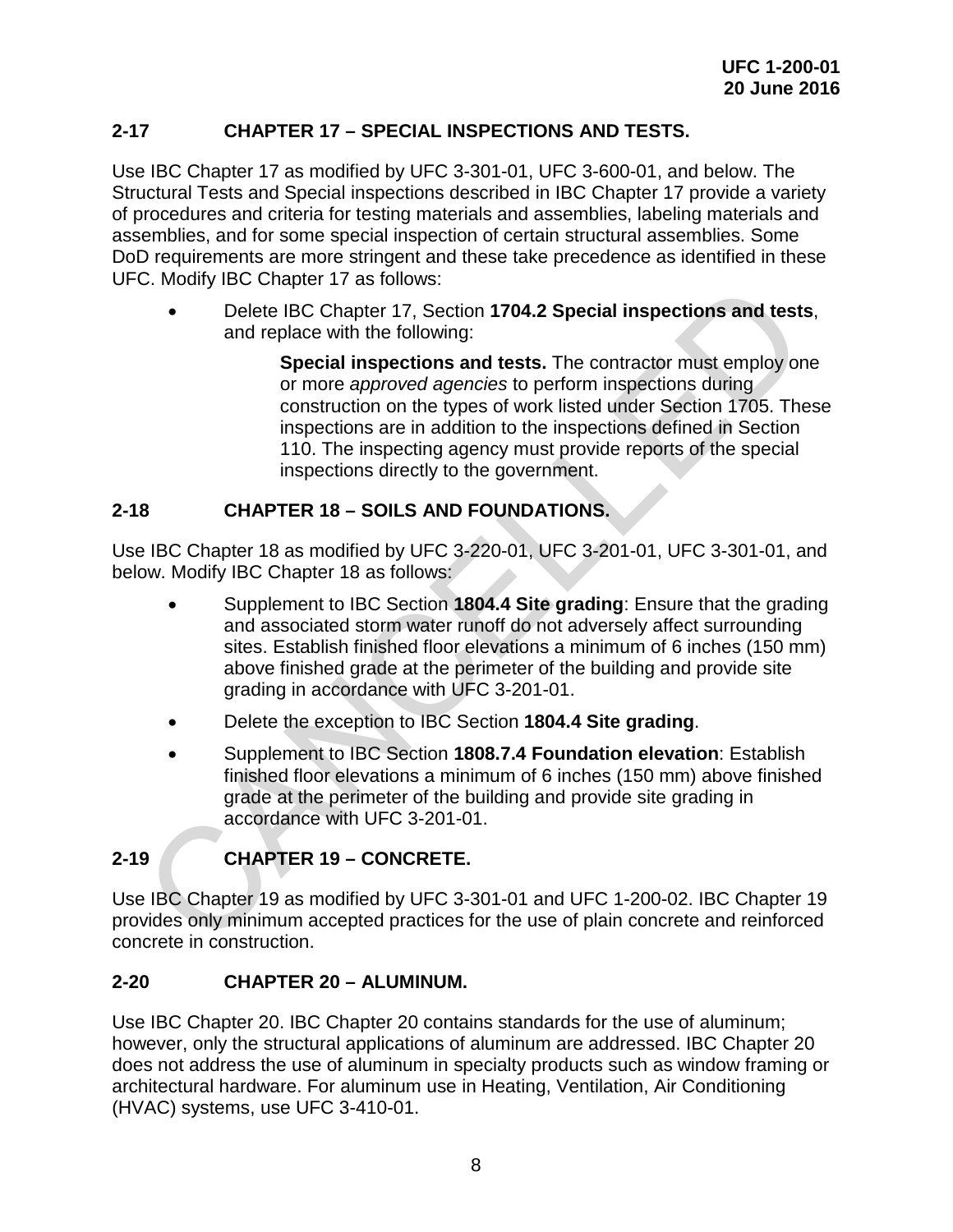# <span id="page-16-0"></span>**2-17 CHAPTER 17 – SPECIAL INSPECTIONS AND TESTS.**

Use IBC Chapter 17 as modified by UFC 3-301-01, UFC 3-600-01, and below. The Structural Tests and Special inspections described in IBC Chapter 17 provide a variety of procedures and criteria for testing materials and assemblies, labeling materials and assemblies, and for some special inspection of certain structural assemblies. Some DoD requirements are more stringent and these take precedence as identified in these UFC. Modify IBC Chapter 17 as follows:

• Delete IBC Chapter 17, Section **1704.2 Special inspections and tests**, and replace with the following:

> **Special inspections and tests.** The contractor must employ one or more *approved agencies* to perform inspections during construction on the types of work listed under Section 1705. These inspections are in addition to the inspections defined in Section 110. The inspecting agency must provide reports of the special inspections directly to the government.

#### <span id="page-16-1"></span>**2-18 CHAPTER 18 – SOILS AND FOUNDATIONS.**

Use IBC Chapter 18 as modified by UFC 3-220-01, UFC 3-201-01, UFC 3-301-01, and below. Modify IBC Chapter 18 as follows:

- Supplement to IBC Section **1804.4 Site grading**: Ensure that the grading and associated storm water runoff do not adversely affect surrounding sites. Establish finished floor elevations a minimum of 6 inches (150 mm) above finished grade at the perimeter of the building and provide site grading in accordance with UFC 3-201-01. • Delete IBC Chapter 17, Section 1704.2 Special inspections and test<br>
and replace in the following:<br>
Special inspections and tests. The contractor must employ or<br>
or more approved agencies to perform inspections during<br>
c
	- Delete the exception to IBC Section **1804.4 Site grading**.
	- Supplement to IBC Section **1808.7.4 Foundation elevation**: Establish finished floor elevations a minimum of 6 inches (150 mm) above finished grade at the perimeter of the building and provide site grading in accordance with UFC 3-201-01.

# <span id="page-16-2"></span>**2-19 CHAPTER 19 – CONCRETE.**

Use IBC Chapter 19 as modified by UFC 3-301-01 and UFC 1-200-02. IBC Chapter 19 provides only minimum accepted practices for the use of plain concrete and reinforced concrete in construction.

#### <span id="page-16-3"></span>**2-20 CHAPTER 20 – ALUMINUM.**

Use IBC Chapter 20. IBC Chapter 20 contains standards for the use of aluminum; however, only the structural applications of aluminum are addressed. IBC Chapter 20 does not address the use of aluminum in specialty products such as window framing or architectural hardware. For aluminum use in Heating, Ventilation, Air Conditioning (HVAC) systems, use UFC 3-410-01.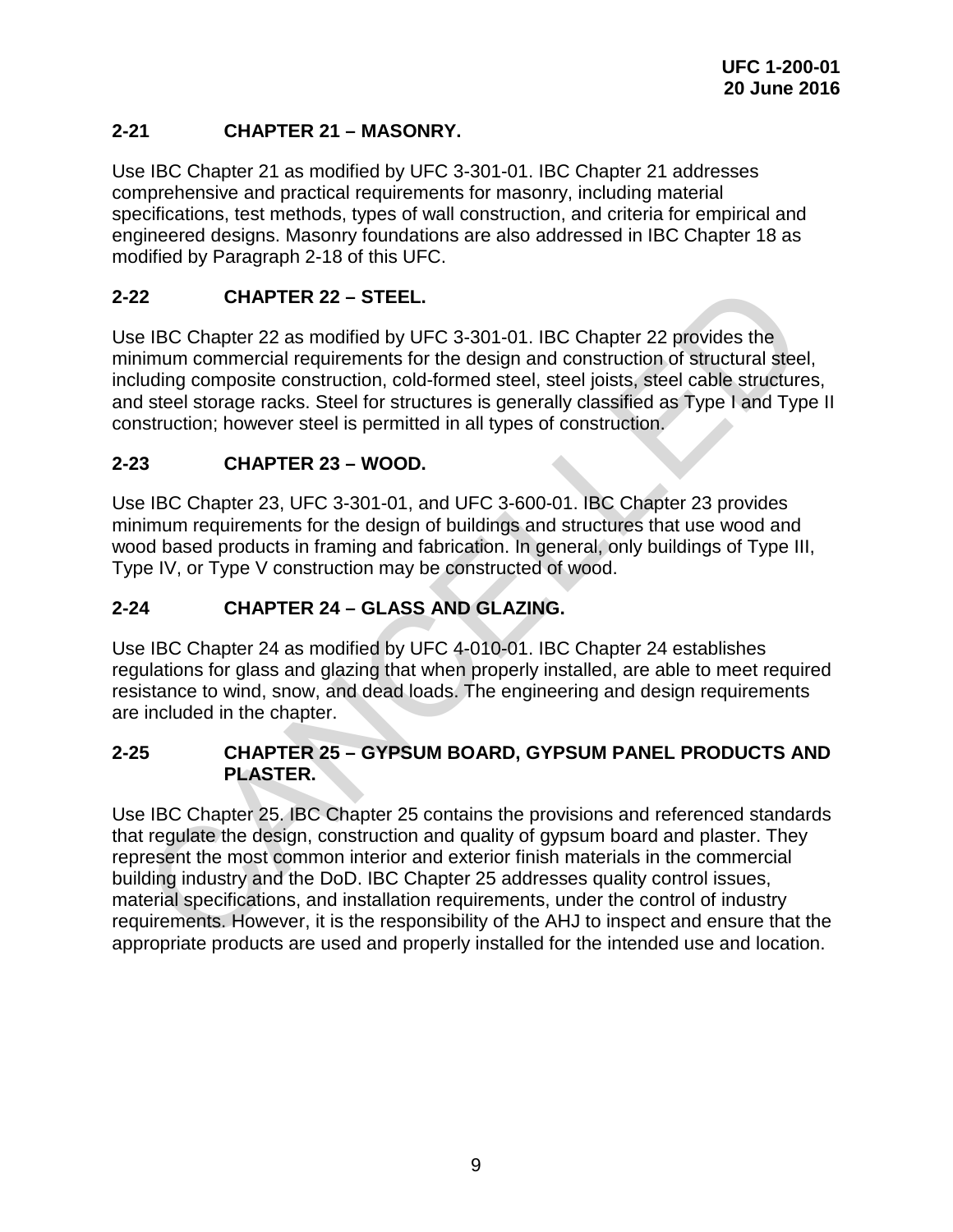# <span id="page-17-0"></span>**2-21 CHAPTER 21 – MASONRY.**

Use IBC Chapter 21 as modified by UFC 3-301-01. IBC Chapter 21 addresses comprehensive and practical requirements for masonry, including material specifications, test methods, types of wall construction, and criteria for empirical and engineered designs. Masonry foundations are also addressed in IBC Chapter 18 as modified by Paragraph [2-18](#page-16-1) of this UFC.

# <span id="page-17-1"></span>**2-22 CHAPTER 22 – STEEL.**

Use IBC Chapter 22 as modified by UFC 3-301-01. IBC Chapter 22 provides the minimum commercial requirements for the design and construction of structural steel, including composite construction, cold-formed steel, steel joists, steel cable structures, and steel storage racks. Steel for structures is generally classified as Type I and Type II construction; however steel is permitted in all types of construction.

#### <span id="page-17-2"></span>**2-23 CHAPTER 23 – WOOD.**

Use IBC Chapter 23, UFC 3-301-01, and UFC 3-600-01. IBC Chapter 23 provides minimum requirements for the design of buildings and structures that use wood and wood based products in framing and fabrication. In general, only buildings of Type III, Type IV, or Type V construction may be constructed of wood.

#### <span id="page-17-3"></span>**2-24 CHAPTER 24 – GLASS AND GLAZING.**

Use IBC Chapter 24 as modified by UFC 4-010-01. IBC Chapter 24 establishes regulations for glass and glazing that when properly installed, are able to meet required resistance to wind, snow, and dead loads. The engineering and design requirements are included in the chapter.

#### <span id="page-17-4"></span>**2-25 CHAPTER 25 – GYPSUM BOARD, GYPSUM PANEL PRODUCTS AND PLASTER.**

Use IBC Chapter 25. IBC Chapter 25 contains the provisions and referenced standards that regulate the design, construction and quality of gypsum board and plaster. They represent the most common interior and exterior finish materials in the commercial building industry and the DoD. IBC Chapter 25 addresses quality control issues, material specifications, and installation requirements, under the control of industry requirements. However, it is the responsibility of the AHJ to inspect and ensure that the appropriate products are used and properly installed for the intended use and location.2 CHAPTER 22 – STEEL.<br>
1 BC Chapter 22 as modified by UFC 3-301-01. IBC Chapter 22 provides the<br>
inium commercial requirements for the design and construction of structural steel<br>
uding composite construction, cold-formed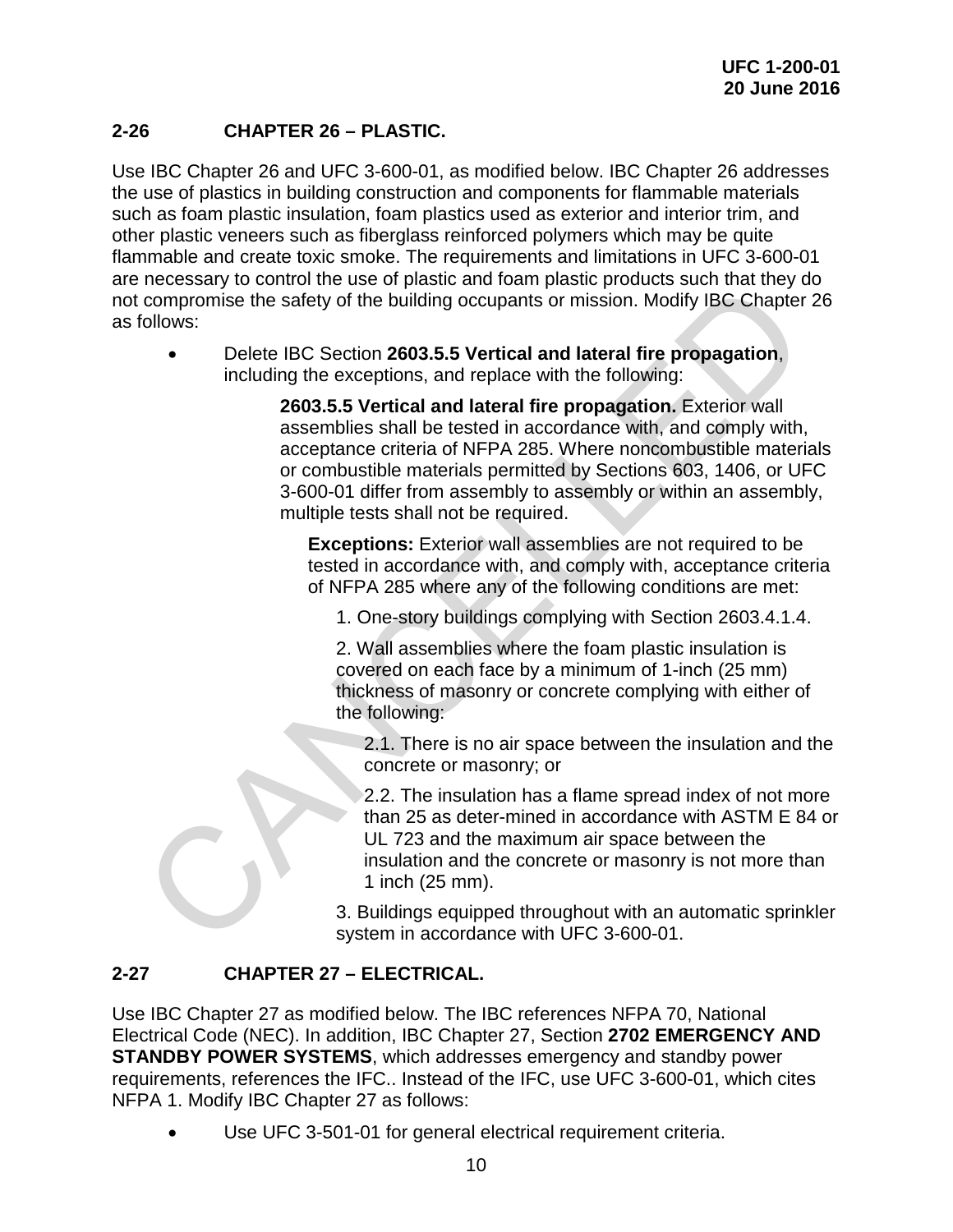# <span id="page-18-0"></span>**2-26 CHAPTER 26 – PLASTIC.**

Use IBC Chapter 26 and UFC 3-600-01, as modified below. IBC Chapter 26 addresses the use of plastics in building construction and components for flammable materials such as foam plastic insulation, foam plastics used as exterior and interior trim, and other plastic veneers such as fiberglass reinforced polymers which may be quite flammable and create toxic smoke. The requirements and limitations in UFC 3-600-01 are necessary to control the use of plastic and foam plastic products such that they do not compromise the safety of the building occupants or mission. Modify IBC Chapter 26 as follows:

• Delete IBC Section **2603.5.5 Vertical and lateral fire propagation**, including the exceptions, and replace with the following:

**2603.5.5 Vertical and lateral fire propagation.** Exterior wall assemblies shall be tested in accordance with, and comply with, acceptance criteria of NFPA 285. Where noncombustible materials or combustible materials permitted by Sections 603, 1406, or UFC 3-600-01 differ from assembly to assembly or within an assembly, multiple tests shall not be required. Consumption to the safety of the building occupants or mission. Modify IBC Chapter<br>
Compromise the safety of the building occupants or mission. Modify IBC Chapter<br>
Collows:<br>
Delete IBC Section 2603.5.5 Vertical and lateral

**Exceptions:** Exterior wall assemblies are not required to be tested in accordance with, and comply with, acceptance criteria of NFPA 285 where any of the following conditions are met:

1. One-story buildings complying with Section 2603.4.1.4.

2. Wall assemblies where the foam plastic insulation is covered on each face by a minimum of 1-inch (25 mm) thickness of masonry or concrete complying with either of the following:

2.1. There is no air space between the insulation and the concrete or masonry; or

2.2. The insulation has a flame spread index of not more than 25 as deter-mined in accordance with ASTM E 84 or UL 723 and the maximum air space between the insulation and the concrete or masonry is not more than 1 inch (25 mm).

3. Buildings equipped throughout with an automatic sprinkler system in accordance with UFC 3-600-01.

#### <span id="page-18-1"></span>**2-27 CHAPTER 27 – ELECTRICAL.**

Use IBC Chapter 27 as modified below. The IBC references NFPA 70, National Electrical Code (NEC). In addition, IBC Chapter 27, Section **2702 EMERGENCY AND STANDBY POWER SYSTEMS**, which addresses emergency and standby power requirements, references the IFC.. Instead of the IFC, use UFC 3-600-01, which cites NFPA 1. Modify IBC Chapter 27 as follows:

Use UFC 3-501-01 for general electrical requirement criteria.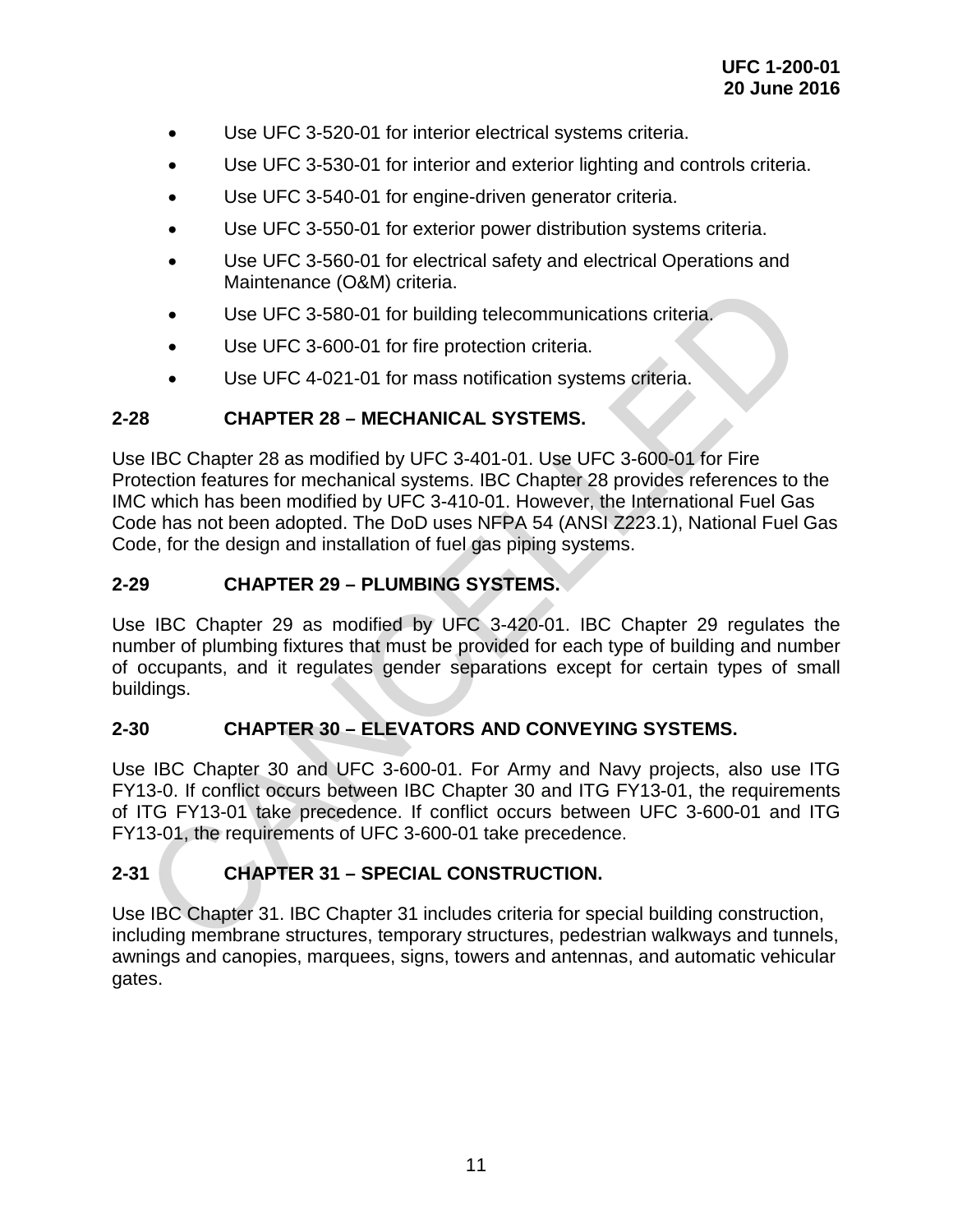- Use UFC 3-520-01 for interior electrical systems criteria.
- Use UFC 3-530-01 for interior and exterior lighting and controls criteria.
- Use UFC 3-540-01 for engine-driven generator criteria.
- Use UFC 3-550-01 for exterior power distribution systems criteria.
- Use UFC 3-560-01 for electrical safety and electrical Operations and Maintenance (O&M) criteria.
- Use UFC 3-580-01 for building telecommunications criteria.
- Use UFC 3-600-01 for fire protection criteria.
- Use UFC 4-021-01 for mass notification systems criteria.

#### <span id="page-19-0"></span>**2-28 CHAPTER 28 – MECHANICAL SYSTEMS.**

Use IBC Chapter 28 as modified by UFC 3-401-01. Use UFC 3-600-01 for Fire Protection features for mechanical systems. IBC Chapter 28 provides references to the IMC which has been modified by UFC 3-410-01. However, the International Fuel Gas Code has not been adopted. The DoD uses NFPA 54 (ANSI Z223.1), National Fuel Gas Code, for the design and installation of fuel gas piping systems. via interlative (Oativ) clienta.<br>
Use UFC 3-680-01 for building telecommunications criteria.<br>
Use UFC 3-600-01 for time protection criteria.<br>
CHAPTER 28 – MECHANICAL SYSTEMS.<br>
BIEC Chapter 28 as modified by UFC 3-401-01. U

# <span id="page-19-1"></span>**2-29 CHAPTER 29 – PLUMBING SYSTEMS.**

Use IBC Chapter 29 as modified by UFC 3-420-01. IBC Chapter 29 regulates the number of plumbing fixtures that must be provided for each type of building and number of occupants, and it regulates gender separations except for certain types of small buildings.

#### <span id="page-19-2"></span>**2-30 CHAPTER 30 – ELEVATORS AND CONVEYING SYSTEMS.**

Use IBC Chapter 30 and UFC 3-600-01. For Army and Navy projects, also use ITG FY13-0. If conflict occurs between IBC Chapter 30 and ITG FY13-01, the requirements of ITG FY13-01 take precedence. If conflict occurs between UFC 3-600-01 and ITG FY13-01, the requirements of UFC 3-600-01 take precedence.

# <span id="page-19-3"></span>**2-31 CHAPTER 31 – SPECIAL CONSTRUCTION.**

Use IBC Chapter 31. IBC Chapter 31 includes criteria for special building construction, including membrane structures, temporary structures, pedestrian walkways and tunnels, awnings and canopies, marquees, signs, towers and antennas, and automatic vehicular gates.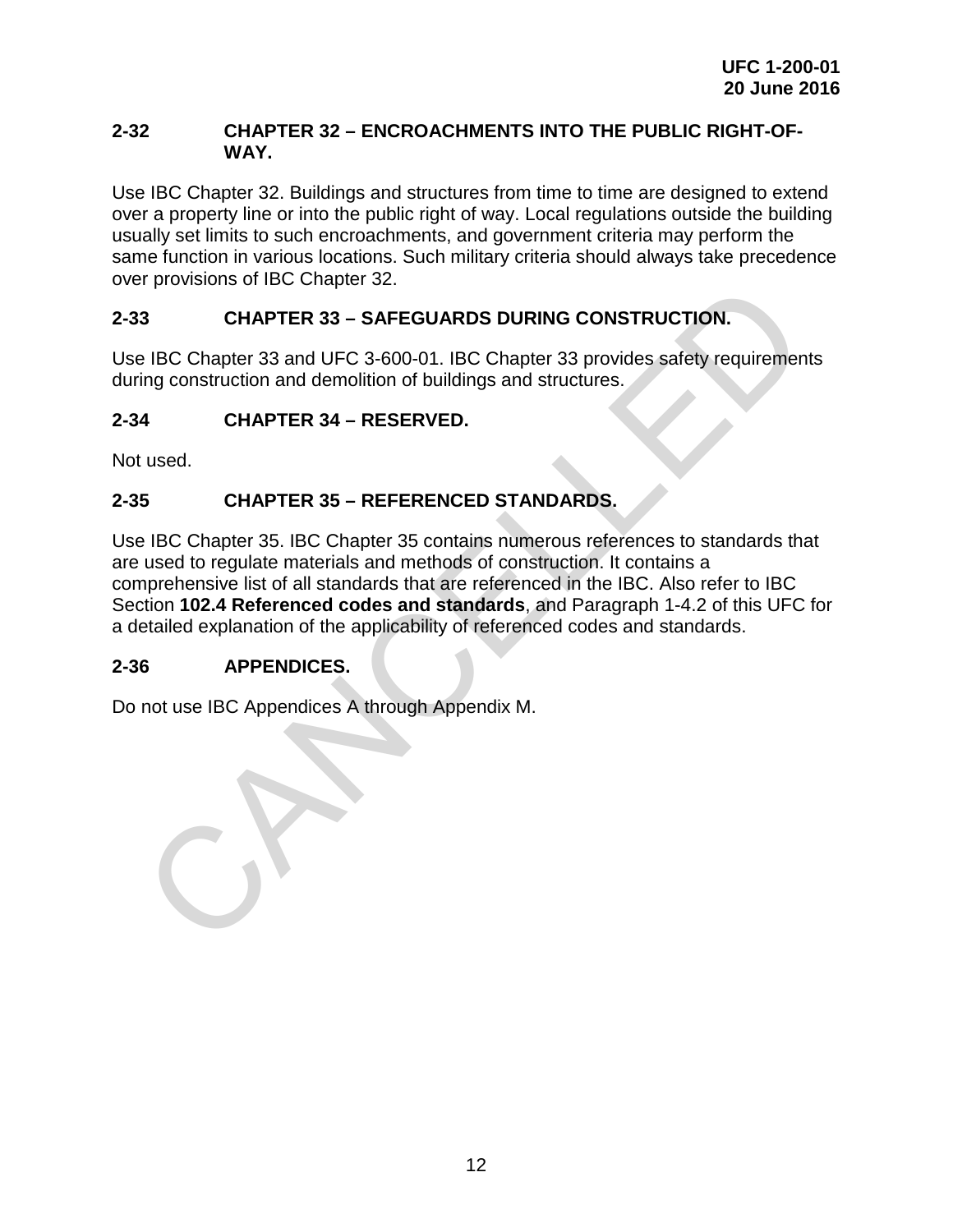#### <span id="page-20-0"></span>**2-32 CHAPTER 32 – ENCROACHMENTS INTO THE PUBLIC RIGHT-OF-WAY.**

Use IBC Chapter 32. Buildings and structures from time to time are designed to extend over a property line or into the public right of way. Local regulations outside the building usually set limits to such encroachments, and government criteria may perform the same function in various locations. Such military criteria should always take precedence over provisions of IBC Chapter 32.

#### <span id="page-20-1"></span>**2-33 CHAPTER 33 – SAFEGUARDS DURING CONSTRUCTION.**

Use IBC Chapter 33 and UFC 3-600-01. IBC Chapter 33 provides safety requirements during construction and demolition of buildings and structures.

#### <span id="page-20-2"></span>**2-34 CHAPTER 34 – RESERVED.**

Not used.

#### <span id="page-20-3"></span>**2-35 CHAPTER 35 – REFERENCED STANDARDS.**

Use IBC Chapter 35. IBC Chapter 35 contains numerous references to standards that are used to regulate materials and methods of construction. It contains a comprehensive list of all standards that are referenced in the IBC. Also refer to IBC Section **102.4 Referenced codes and standards**, and Paragraph 1-4.2 of this UFC for a detailed explanation of the applicability of referenced codes and standards. SCRIPTER 33 – SAFEGUARDS DURING CONSTRUCTION.<br>
BUS Chapter 33 and UFC 3-600-01. IBC Chapter 33 provides safety requirement<br>
Ing construction and demolition of buildings and structures.<br>
CHAPTER 34 – RESERVED.<br>
USED.<br>
CHAPT

# <span id="page-20-4"></span>**2-36 APPENDICES.**

Do not use IBC Appendices A through Appendix M.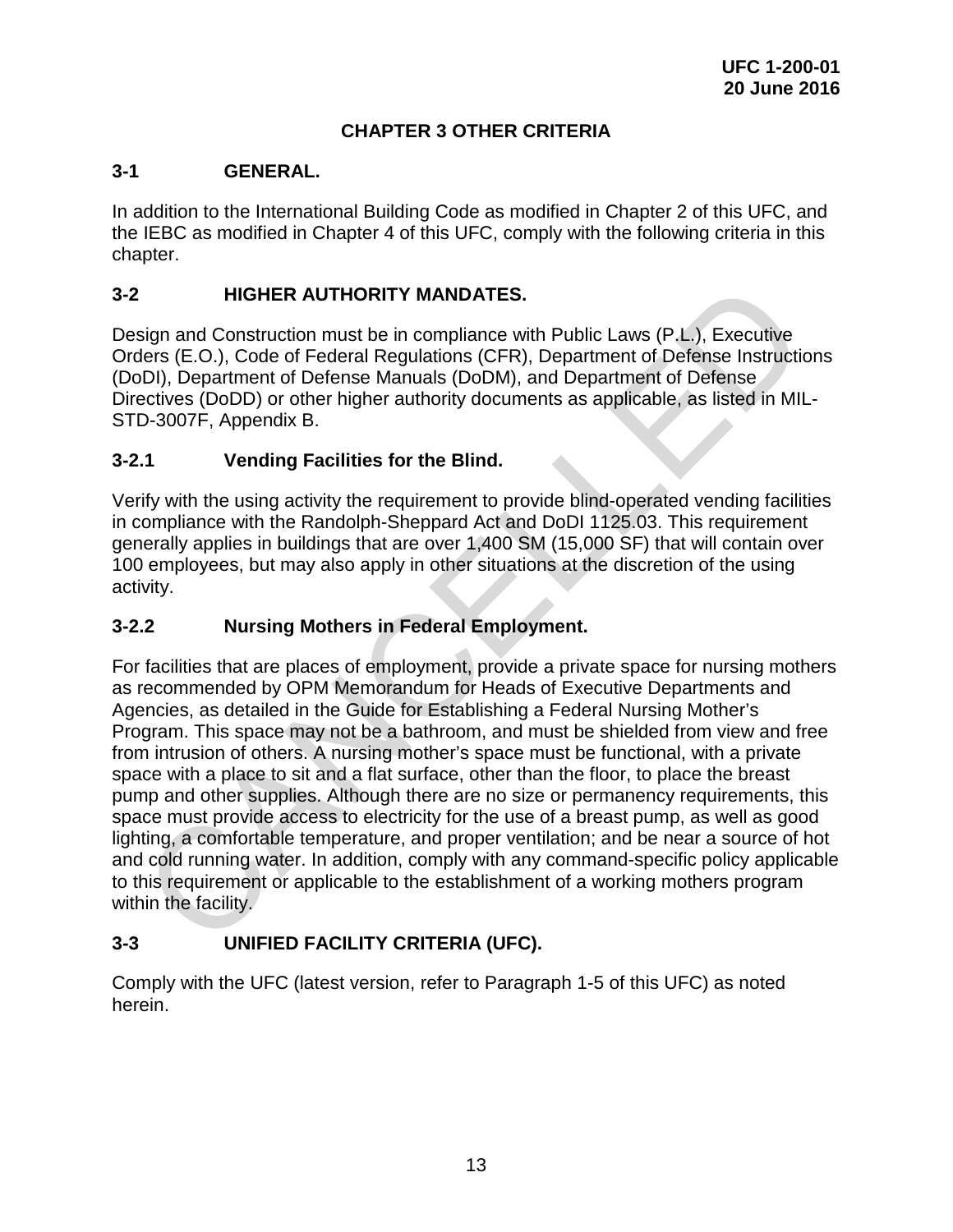#### **CHAPTER 3 OTHER CRITERIA**

#### <span id="page-21-1"></span><span id="page-21-0"></span>**3-1 GENERAL.**

In addition to the International Building Code as modified in Chapter 2 of this UFC, and the IEBC as modified in Chapter 4 of this UFC, comply with the following criteria in this chapter.

#### **3-2 HIGHER AUTHORITY MANDATES.**

Design and Construction must be in compliance with Public Laws (P.L.), Executive Orders (E.O.), Code of Federal Regulations (CFR), Department of Defense Instructions (DoDI), Department of Defense Manuals (DoDM), and Department of Defense Directives (DoDD) or other higher authority documents as applicable, as listed in MIL-STD-3007F, Appendix B.

#### <span id="page-21-3"></span>**3-2.1 Vending Facilities for the Blind.**

Verify with the using activity the requirement to provide blind-operated vending facilities in compliance with the Randolph-Sheppard Act and DoDI 1125.03. This requirement generally applies in buildings that are over 1,400 SM (15,000 SF) that will contain over 100 employees, but may also apply in other situations at the discretion of the using activity.

#### <span id="page-21-4"></span>**3-2.2 Nursing Mothers in Federal Employment.**

<span id="page-21-2"></span>For facilities that are places of employment, provide a private space for nursing mothers as recommended by OPM Memorandum for Heads of Executive Departments and Agencies, as detailed in the Guide for Establishing a Federal Nursing Mother's Program. This space may not be a bathroom, and must be shielded from view and free from intrusion of others. A nursing mother's space must be functional, with a private space with a place to sit and a flat surface, other than the floor, to place the breast pump and other supplies. Although there are no size or permanency requirements, this space must provide access to electricity for the use of a breast pump, as well as good lighting, a comfortable temperature, and proper ventilation; and be near a source of hot and cold running water. In addition, comply with any command-specific policy applicable to this requirement or applicable to the establishment of a working mothers program within the facility. **HIGHER AUTHORITY MANDATES.**<br>
Sign and Construction must be in compliance with Public Laws (P.L.), Executive<br>
Iers (E.O.), Code of Federal Regulations (CFR), Department of Defense Instruction<br>
CID, Department of Defense Ma

# <span id="page-21-5"></span>**3-3 UNIFIED FACILITY CRITERIA (UFC).**

Comply with the UFC (latest version, refer to Paragraph [1-5](#page-11-0) of this UFC) as noted herein.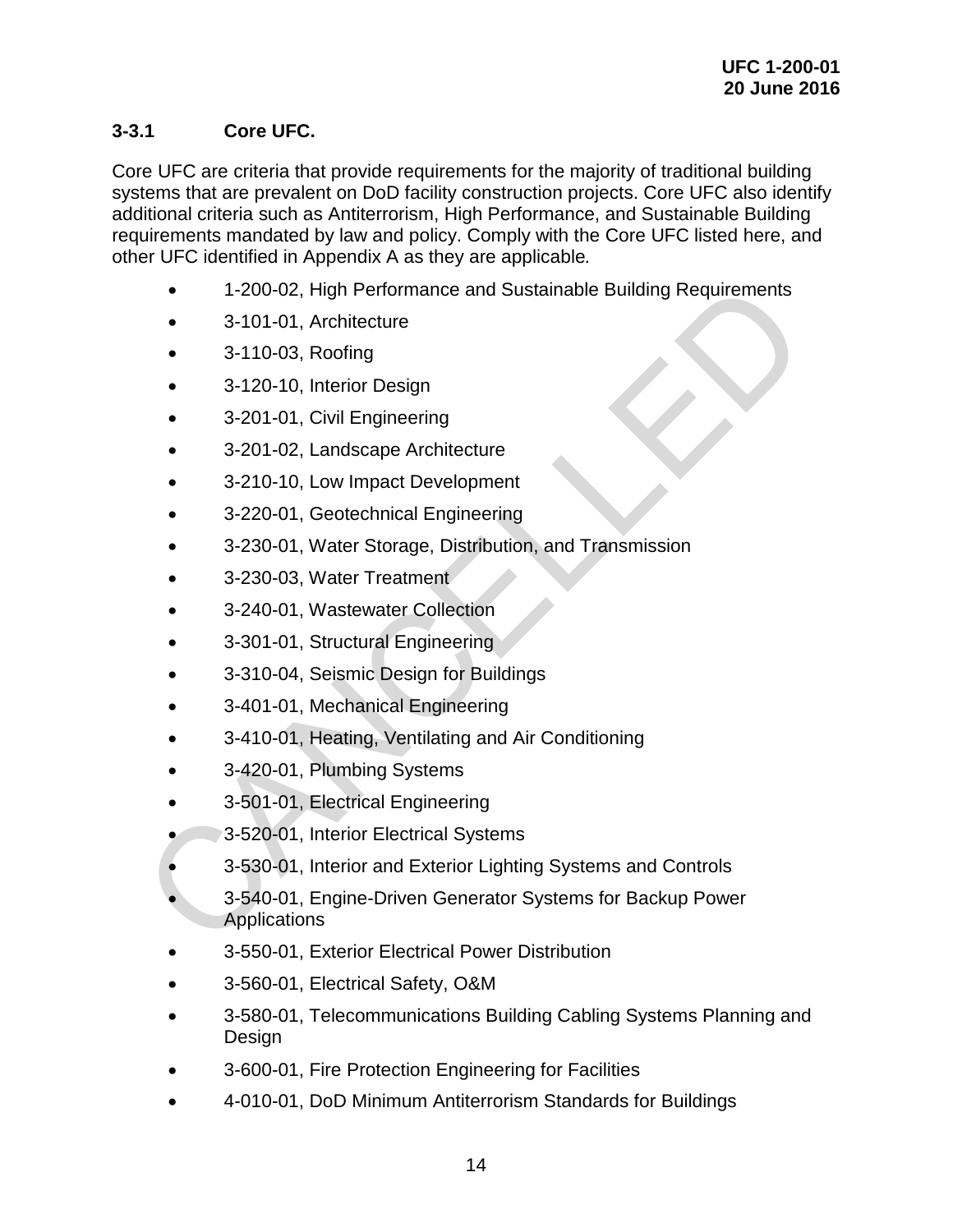# <span id="page-22-0"></span>**3-3.1 Core UFC.**

Core UFC are criteria that provide requirements for the majority of traditional building systems that are prevalent on DoD facility construction projects. Core UFC also identify additional criteria such as Antiterrorism, High Performance, and Sustainable Building requirements mandated by law and policy. Comply with the Core UFC listed here, and other UFC identified in Appendix A as they are applicable*.* 

- 1-200-02, High Performance and Sustainable Building Requirements
- 3-101-01, Architecture
- 3-110-03, Roofing
- 3-120-10, Interior Design
- 3-201-01, Civil Engineering
- 3-201-02, Landscape Architecture
- 3-210-10, Low Impact Development
- 3-220-01, Geotechnical Engineering
- 3-230-01, Water Storage, Distribution, and Transmission
- 3-230-03, Water Treatment
- 3-240-01, Wastewater Collection
- 3-301-01, Structural Engineering
- 3-310-04, Seismic Design for Buildings
- 3-401-01, Mechanical Engineering
- 3-410-01, Heating, Ventilating and Air Conditioning
- 3-420-01, Plumbing Systems
- 3-501-01, Electrical Engineering
- 3-520-01, Interior Electrical Systems
- 3-530-01, Interior and Exterior Lighting Systems and Controls
- 3-540-01, Engine-Driven Generator Systems for Backup Power **Applications** 1200-02, High Performance and Sustainable Building Requirements<br>
3-101-01, Architecture<br>
3-101-03, Roofing<br>
3-201-01, Interior Design<br>
3-201-01, Civil Engineering<br>
13-201-01, Civil Engineering<br>
3-201-01, Low Impact Develop
	- 3-550-01, Exterior Electrical Power Distribution
	- 3-560-01, Electrical Safety, O&M
	- 3-580-01, Telecommunications Building Cabling Systems Planning and Design
	- 3-600-01, Fire Protection Engineering for Facilities
	- 4-010-01, DoD Minimum Antiterrorism Standards for Buildings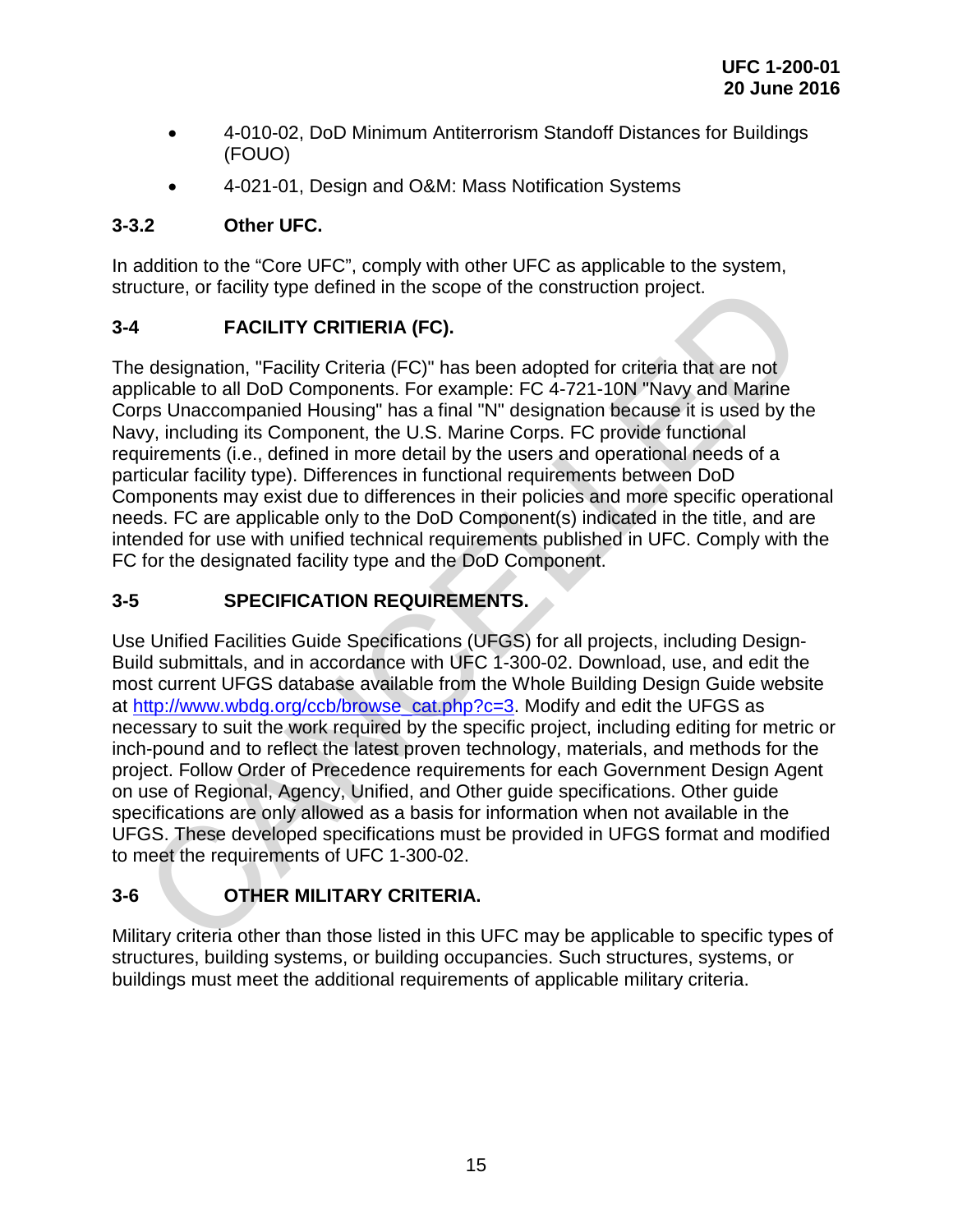- 4-010-02, DoD Minimum Antiterrorism Standoff Distances for Buildings (FOUO)
- 4-021-01, Design and O&M: Mass Notification Systems

#### <span id="page-23-0"></span>**3-3.2 Other UFC.**

In addition to the "Core UFC", comply with other UFC as applicable to the system, structure, or facility type defined in the scope of the construction project.

# <span id="page-23-1"></span>**3-4 FACILITY CRITIERIA (FC).**

The designation, "Facility Criteria (FC)" has been adopted for criteria that are not applicable to all DoD Components. For example: FC 4-721-10N "Navy and Marine Corps Unaccompanied Housing" has a final "N" designation because it is used by the Navy, including its Component, the U.S. Marine Corps. FC provide functional requirements (i.e., defined in more detail by the users and operational needs of a particular facility type). Differences in functional requirements between DoD Components may exist due to differences in their policies and more specific operational needs. FC are applicable only to the DoD Component(s) indicated in the title, and are intended for use with unified technical requirements published in UFC. Comply with the FC for the designated facility type and the DoD Component.

# <span id="page-23-2"></span>**3-5 SPECIFICATION REQUIREMENTS.**

Use Unified Facilities Guide Specifications (UFGS) for all projects, including Design-Build submittals, and in accordance with UFC 1-300-02. Download, use, and edit the most current UFGS database available from the Whole Building Design Guide website at http://www.wbdg.org/ccb/browse\_cat.php?c=3. Modify and edit the UFGS as necessary to suit the work required by the specific project, including editing for metric or inch-pound and to reflect the latest proven technology, materials, and methods for the project. Follow Order of Precedence requirements for each Government Design Agent on use of Regional, Agency, Unified, and Other guide specifications. Other guide specifications are only allowed as a basis for information when not available in the UFGS. These developed specifications must be provided in UFGS format and modified to meet the requirements of UFC 1-300-02. cture, or facility type defined in the scope of the construction project.<br>
FACILITY CRITIERIA (FC).<br>
REGILITY CRITIERIA (FC) Thas been adopted for criteria that are not<br>
licelable to all DoD Components. For example: FC 4-7

# <span id="page-23-3"></span>**3-6 OTHER MILITARY CRITERIA.**

Military criteria other than those listed in this UFC may be applicable to specific types of structures, building systems, or building occupancies. Such structures, systems, or buildings must meet the additional requirements of applicable military criteria.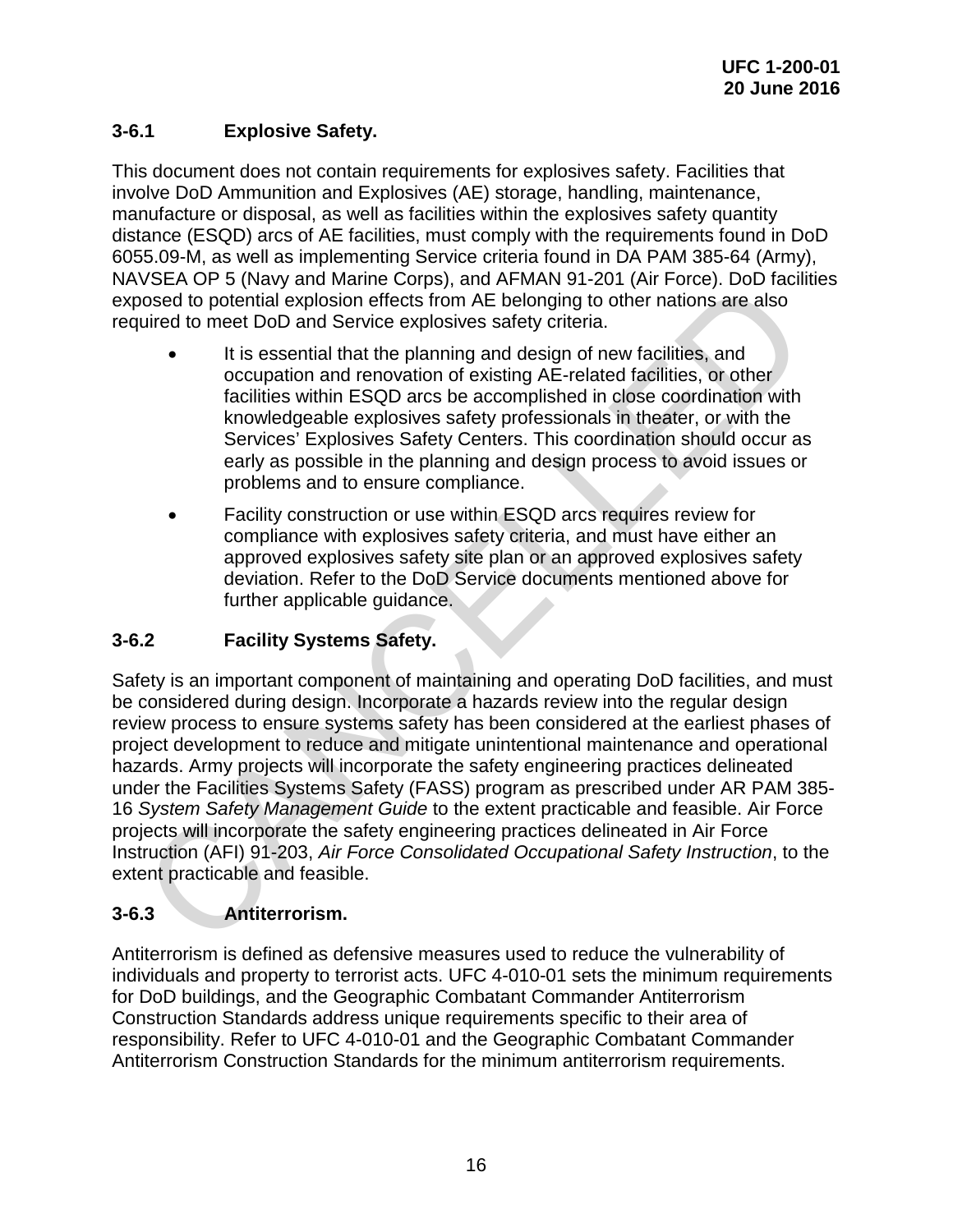# <span id="page-24-0"></span>**3-6.1 Explosive Safety.**

This document does not contain requirements for explosives safety. Facilities that involve DoD Ammunition and Explosives (AE) storage, handling, maintenance, manufacture or disposal, as well as facilities within the explosives safety quantity distance (ESQD) arcs of AE facilities, must comply with the requirements found in DoD 6055.09-M, as well as implementing Service criteria found in DA PAM 385-64 (Army), NAVSEA OP 5 (Navy and Marine Corps), and AFMAN 91-201 (Air Force). DoD facilities exposed to potential explosion effects from AE belonging to other nations are also required to meet DoD and Service explosives safety criteria.

- It is essential that the planning and design of new facilities, and occupation and renovation of existing AE-related facilities, or other facilities within ESQD arcs be accomplished in close coordination with knowledgeable explosives safety professionals in theater, or with the Services' Explosives Safety Centers. This coordination should occur as early as possible in the planning and design process to avoid issues or problems and to ensure compliance.
- Facility construction or use within ESQD arcs requires review for compliance with explosives safety criteria, and must have either an approved explosives safety site plan or an approved explosives safety deviation. Refer to the DoD Service documents mentioned above for further applicable guidance.

# <span id="page-24-1"></span>**3-6.2 Facility Systems Safety.**

Safety is an important component of maintaining and operating DoD facilities, and must be considered during design. Incorporate a hazards review into the regular design review process to ensure systems safety has been considered at the earliest phases of project development to reduce and mitigate unintentional maintenance and operational hazards. Army projects will incorporate the safety engineering practices delineated under the Facilities Systems Safety (FASS) program as prescribed under AR PAM 385- 16 *System Safety Management Guide* to the extent practicable and feasible. Air Force projects will incorporate the safety engineering practices delineated in Air Force Instruction (AFI) 91-203, *Air Force Consolidated Occupational Safety Instruction*, to the extent practicable and feasible. Control of the mation of the mathematic originary and designed to potential explosion effects from AE belonging to other nations are also<br>colored to meet DoD and Service explosives safely criteria.<br>
In is essential that t

# <span id="page-24-2"></span>**3-6.3 Antiterrorism.**

Antiterrorism is defined as defensive measures used to reduce the vulnerability of individuals and property to terrorist acts. UFC 4-010-01 sets the minimum requirements for DoD buildings, and the Geographic Combatant Commander Antiterrorism Construction Standards address unique requirements specific to their area of responsibility. Refer to UFC 4-010-01 and the Geographic Combatant Commander Antiterrorism Construction Standards for the minimum antiterrorism requirements.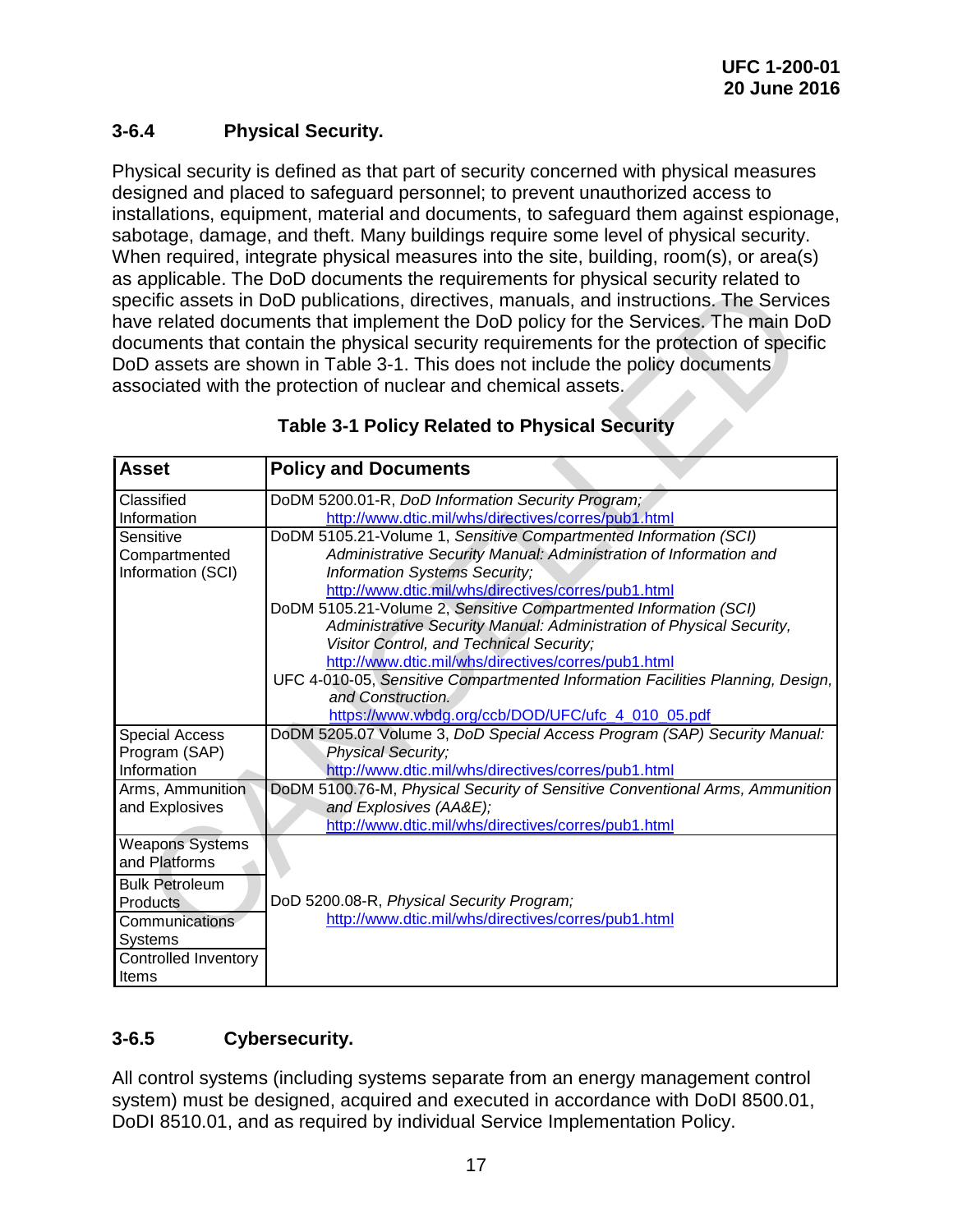# <span id="page-25-0"></span>**3-6.4 Physical Security.**

Physical security is defined as that part of security concerned with physical measures designed and placed to safeguard personnel; to prevent unauthorized access to installations, equipment, material and documents, to safeguard them against espionage, sabotage, damage, and theft. Many buildings require some level of physical security. When required, integrate physical measures into the site, building, room(s), or area(s) as applicable. The DoD documents the requirements for physical security related to specific assets in DoD publications, directives, manuals, and instructions. The Services have related documents that implement the DoD policy for the Services. The main DoD documents that contain the physical security requirements for the protection of specific DoD assets are shown in Table 3-1. This does not include the policy documents associated with the protection of nuclear and chemical assets.

| as applicable. The DoD accuracity are requirements for privated security related to<br>specific assets in DoD publications, directives, manuals, and instructions. The Services<br>have related documents that implement the DoD policy for the Services. The main DoD<br>documents that contain the physical security requirements for the protection of specific<br>DoD assets are shown in Table 3-1. This does not include the policy documents<br>associated with the protection of nuclear and chemical assets. |                                                                                                                                                                                                                                      |  |  |  |
|-----------------------------------------------------------------------------------------------------------------------------------------------------------------------------------------------------------------------------------------------------------------------------------------------------------------------------------------------------------------------------------------------------------------------------------------------------------------------------------------------------------------------|--------------------------------------------------------------------------------------------------------------------------------------------------------------------------------------------------------------------------------------|--|--|--|
| <b>Asset</b>                                                                                                                                                                                                                                                                                                                                                                                                                                                                                                          | <b>Table 3-1 Policy Related to Physical Security</b><br><b>Policy and Documents</b>                                                                                                                                                  |  |  |  |
| Classified<br>Information                                                                                                                                                                                                                                                                                                                                                                                                                                                                                             | DoDM 5200.01-R, DoD Information Security Program;<br>http://www.dtic.mil/whs/directives/corres/pub1.html                                                                                                                             |  |  |  |
| Sensitive<br>Compartmented<br>Information (SCI)                                                                                                                                                                                                                                                                                                                                                                                                                                                                       | DoDM 5105.21-Volume 1, Sensitive Compartmented Information (SCI)<br>Administrative Security Manual: Administration of Information and<br><b>Information Systems Security;</b><br>http://www.dtic.mil/whs/directives/corres/pub1.html |  |  |  |
|                                                                                                                                                                                                                                                                                                                                                                                                                                                                                                                       | DoDM 5105.21-Volume 2, Sensitive Compartmented Information (SCI)<br>Administrative Security Manual: Administration of Physical Security,<br>Visitor Control, and Technical Security;                                                 |  |  |  |
|                                                                                                                                                                                                                                                                                                                                                                                                                                                                                                                       | http://www.dtic.mil/whs/directives/corres/pub1.html<br>UFC 4-010-05, Sensitive Compartmented Information Facilities Planning, Design,<br>and Construction.<br>https://www.wbdg.org/ccb/DOD/UFC/ufc_4_010_05.pdf                      |  |  |  |
| <b>Special Access</b><br>Program (SAP)<br>Information                                                                                                                                                                                                                                                                                                                                                                                                                                                                 | DoDM 5205.07 Volume 3, DoD Special Access Program (SAP) Security Manual:<br><b>Physical Security;</b><br>http://www.dtic.mil/whs/directives/corres/pub1.html                                                                         |  |  |  |
| Arms, Ammunition<br>and Explosives                                                                                                                                                                                                                                                                                                                                                                                                                                                                                    | DoDM 5100.76-M, Physical Security of Sensitive Conventional Arms, Ammunition<br>and Explosives (AA&E);<br>http://www.dtic.mil/whs/directives/corres/pub1.html                                                                        |  |  |  |
| <b>Weapons Systems</b><br>and Platforms                                                                                                                                                                                                                                                                                                                                                                                                                                                                               |                                                                                                                                                                                                                                      |  |  |  |
| <b>Bulk Petroleum</b><br>Products<br>Communications<br>Systems                                                                                                                                                                                                                                                                                                                                                                                                                                                        | DoD 5200.08-R, Physical Security Program;<br>http://www.dtic.mil/whs/directives/corres/pub1.html                                                                                                                                     |  |  |  |
| Controlled Inventory<br>Items                                                                                                                                                                                                                                                                                                                                                                                                                                                                                         |                                                                                                                                                                                                                                      |  |  |  |

# **Table 3-1 Policy Related to Physical Security**

# <span id="page-25-1"></span>**3-6.5 Cybersecurity.**

All control systems (including systems separate from an energy management control system) must be designed, acquired and executed in accordance with DoDI 8500.01, DoDI 8510.01, and as required by individual Service Implementation Policy.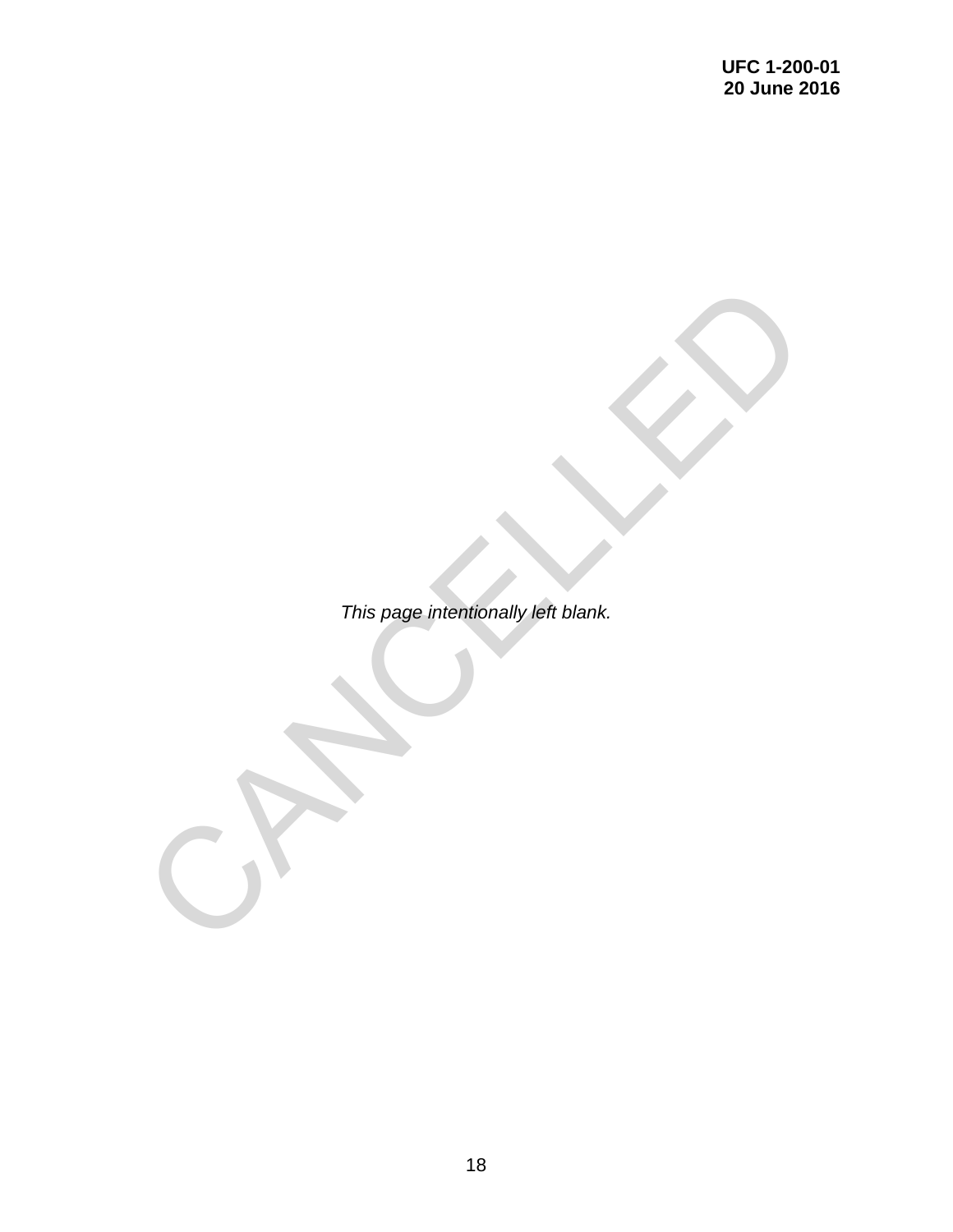*This page intentionally left blank.* This page intentionally left blank.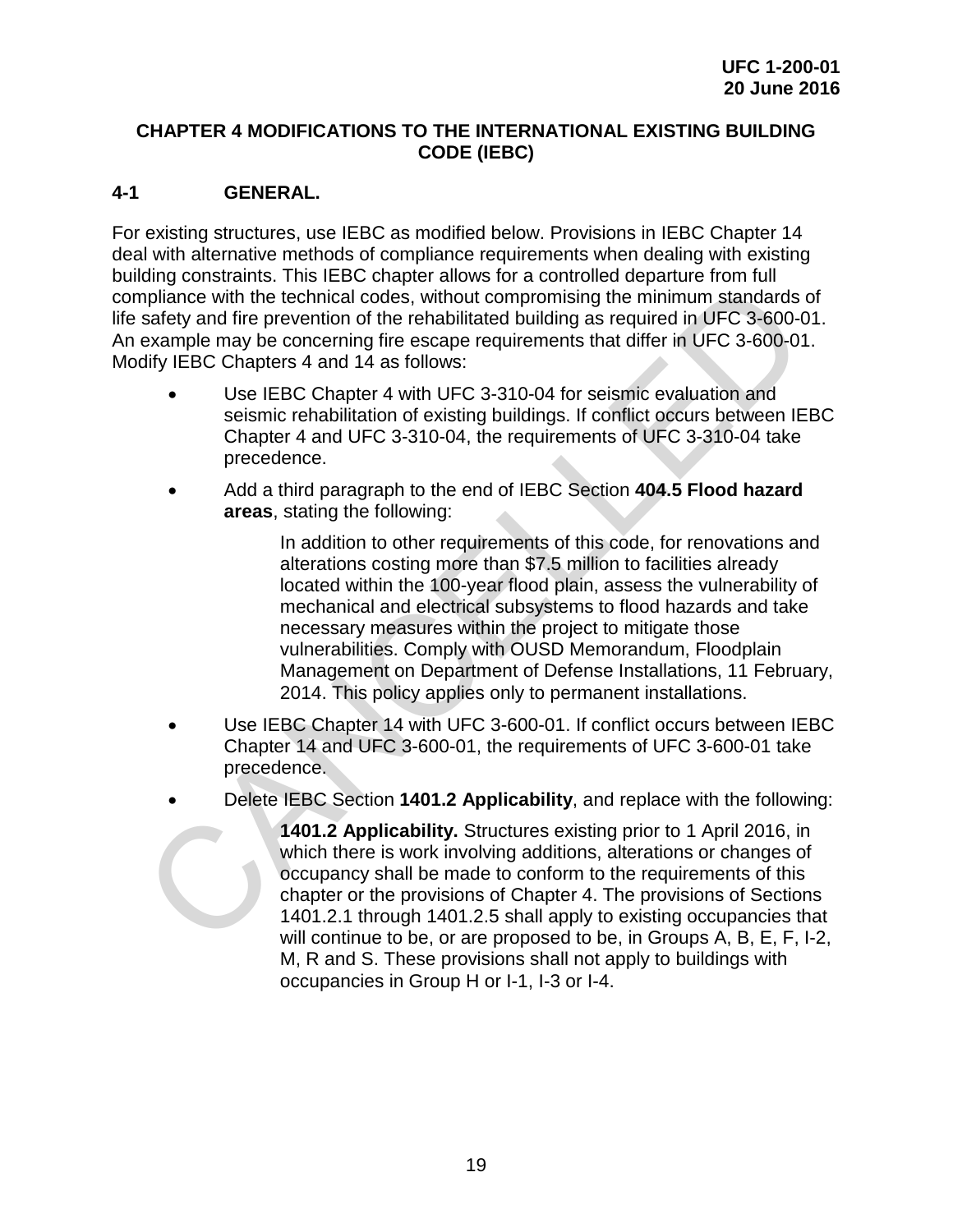#### <span id="page-27-0"></span>**CHAPTER 4 MODIFICATIONS TO THE INTERNATIONAL EXISTING BUILDING CODE (IEBC)**

#### <span id="page-27-1"></span>**4-1 GENERAL.**

For existing structures, use IEBC as modified below. Provisions in IEBC Chapter 14 deal with alternative methods of compliance requirements when dealing with existing building constraints. This IEBC chapter allows for a controlled departure from full compliance with the technical codes, without compromising the minimum standards of life safety and fire prevention of the rehabilitated building as required in UFC 3-600-01. An example may be concerning fire escape requirements that differ in UFC 3-600-01. Modify IEBC Chapters 4 and 14 as follows:

- Use IEBC Chapter 4 with UFC 3-310-04 for seismic evaluation and seismic rehabilitation of existing buildings. If conflict occurs between IEBC Chapter 4 and UFC 3-310-04, the requirements of UFC 3-310-04 take precedence.
- Add a third paragraph to the end of IEBC Section **404.5 Flood hazard areas**, stating the following:

In addition to other requirements of this code, for renovations and alterations costing more than \$7.5 million to facilities already located within the 100-year flood plain, assess the vulnerability of mechanical and electrical subsystems to flood hazards and take necessary measures within the project to mitigate those vulnerabilities. Comply with OUSD Memorandum, Floodplain Management on Department of Defense Installations, 11 February, 2014. This policy applies only to permanent installations. main the technical codes, without compromising the minimum standards<br>sative and fite prevention of the enhabilitated building as requirements that differ in UFC 3-600-01<br>sity HEBC Chapters 4 and 14 as follows:<br><br>WEBC Chapte

- Use IEBC Chapter 14 with UFC 3-600-01. If conflict occurs between IEBC Chapter 14 and UFC 3-600-01, the requirements of UFC 3-600-01 take precedence.
- Delete IEBC Section **1401.2 Applicability**, and replace with the following:

**1401.2 Applicability.** Structures existing prior to 1 April 2016, in which there is work involving additions, alterations or changes of occupancy shall be made to conform to the requirements of this chapter or the provisions of Chapter 4. The provisions of Sections 1401.2.1 through 1401.2.5 shall apply to existing occupancies that will continue to be, or are proposed to be, in Groups A, B, E, F, I-2, M, R and S. These provisions shall not apply to buildings with occupancies in Group H or I-1, I-3 or I-4.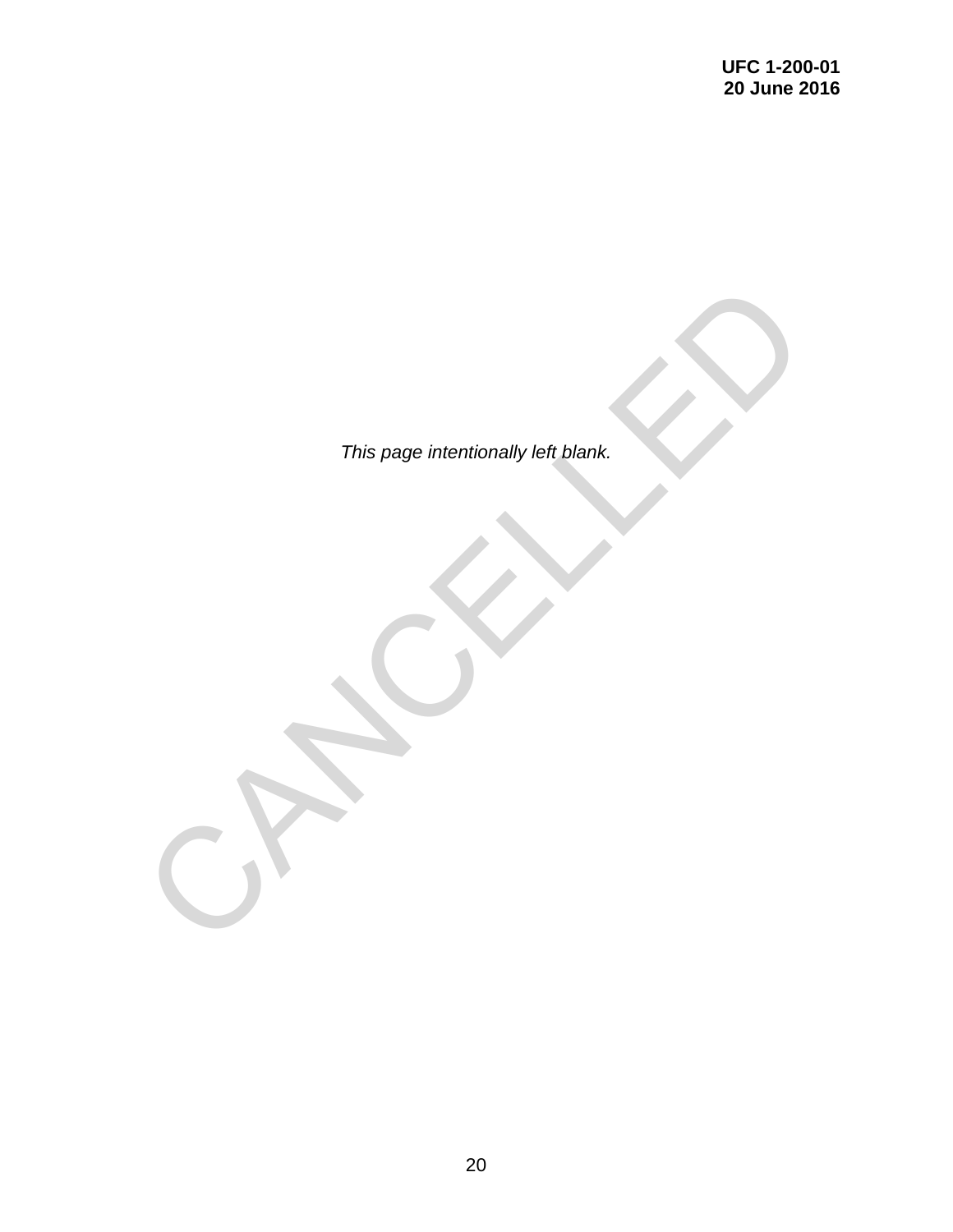*This page intentionally left blank.* This page intentionally left blank.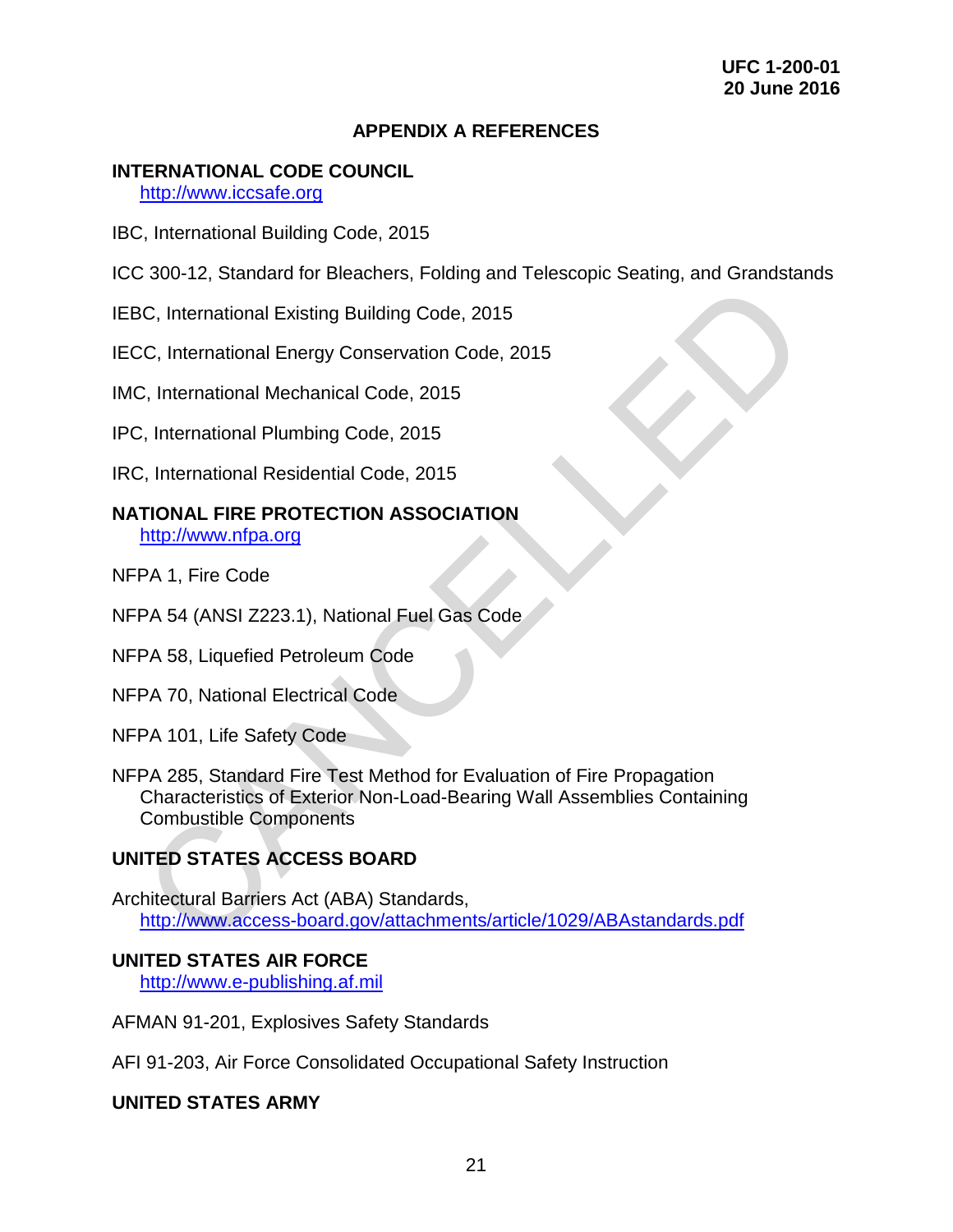#### **APPENDIX A REFERENCES**

#### <span id="page-29-0"></span>**INTERNATIONAL CODE COUNCIL**

[http://www.iccsafe.org](http://www.iccsafe.org/)

- IBC, International Building Code, 2015
- ICC 300-12, Standard for Bleachers, Folding and Telescopic Seating, and Grandstands
- IEBC, International Existing Building Code, 2015
- IECC, International Energy Conservation Code, 2015
- IMC, International Mechanical Code, 2015
- IPC, International Plumbing Code, 2015
- IRC, International Residential Code, 2015

#### **NATIONAL FIRE PROTECTION ASSOCIATION** http://www.nfpa.org

- NFPA 1, Fire Code
- NFPA 54 (ANSI Z223.1), National Fuel Gas Code
- NFPA 58, Liquefied Petroleum Code
- NFPA 70, National Electrical Code
- NFPA 101, Life Safety Code
- NFPA 285, Standard Fire Test Method for Evaluation of Fire Propagation Characteristics of Exterior Non-Load-Bearing Wall Assemblies Containing Combustible Components [C](http://www.access-board.gov/attachments/article/1029/ABAstandards.pdf), International Existing Building Code, 2015<br>
C, International Energy Conservation Code, 2015<br>
C, International Mechanical Code, 2015<br>
I, International Plumbing Code, 2015<br>
TIONAL FIRE PROTECTION ASSOCIATION<br>
TIONAL FIRE

#### **UNITED STATES ACCESS BOARD**

Architectural Barriers Act (ABA) Standards, http://www.access-board.gov/attachments/article/1029/ABAstandards.pdf

#### **UNITED STATES AIR FORCE**

[http://www.e-publishing.af.mil](http://www.e-publishing.af.mil/)

- AFMAN 91-201, Explosives Safety Standards
- AFI 91-203, Air Force Consolidated Occupational Safety Instruction

#### **UNITED STATES ARMY**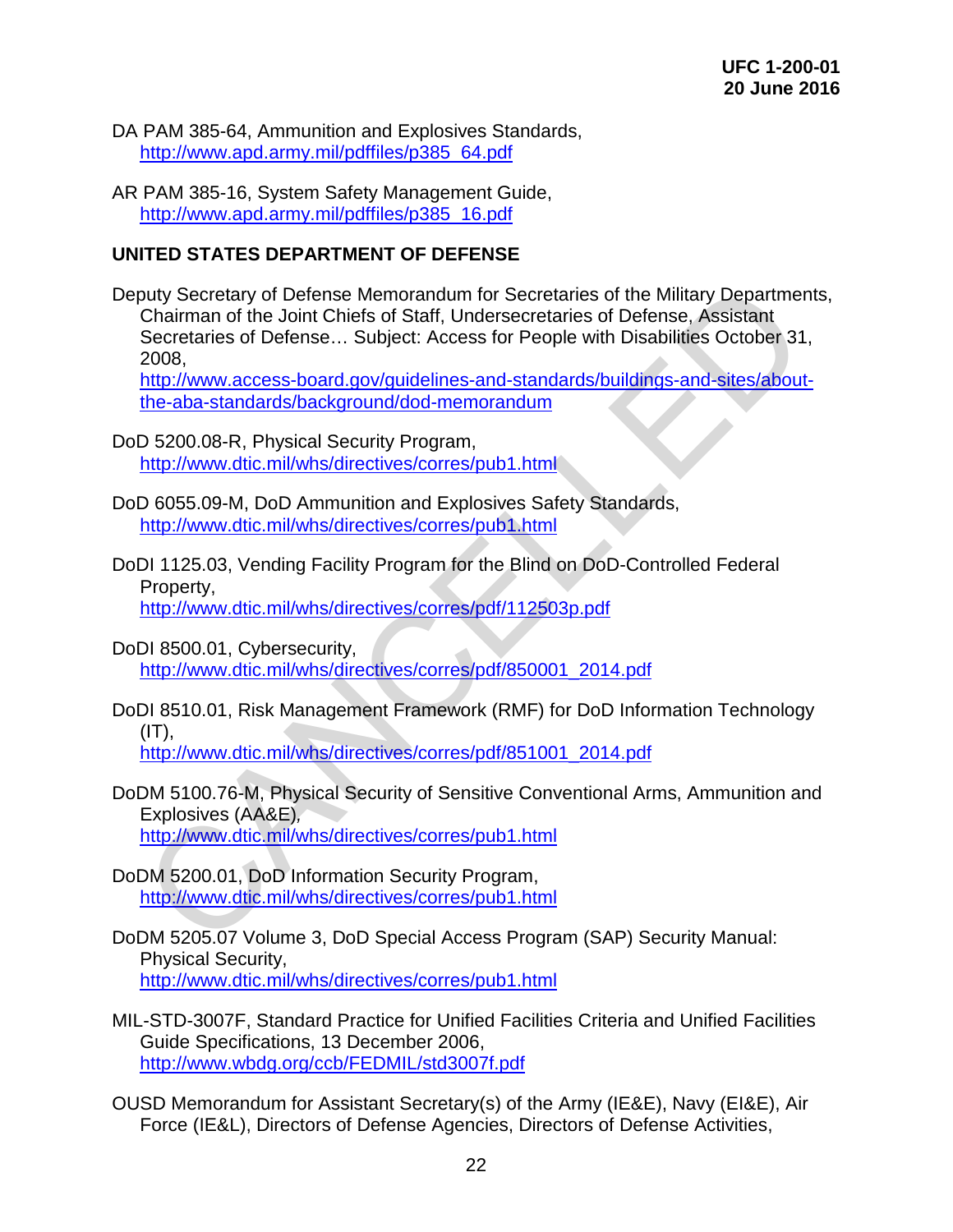DA PAM 385-64, Ammunition and Explosives Standards, [http://www.apd.army.mil/pdffiles/p385\\_64.pdf](http://www.apd.army.mil/pdffiles/p385_64.pdf)

AR PAM 385-16, System Safety Management Guide, [http://www.apd.army.mil/pdffiles/p385\\_16.pdf](http://www.apd.army.mil/pdffiles/p385_16.pdf)

#### **UNITED STATES DEPARTMENT OF DEFENSE**

Deputy Secretary of Defense Memorandum for Secretaries of the Military Departments, Chairman of the Joint Chiefs of Staff, Undersecretaries of Defense, Assistant Secretaries of Defense… Subject: Access for People with Disabilities October 31, 2008, outy Secretary of Defense Memorandum for Secretaries of the Military Departmer<br>[C](http://www.dtic.mil/whs/directives/corres/pub1.html)hariman of the Joint Chiefs of Staff, Undersecretaries of Defense, Assistrant<br>Secretaries of Defense... Subject: Access for People with Disabi

http://www.access-board.gov/guidelines-and-standards/buildings-and-sites/aboutthe-aba-standards/background/dod-memorandum

DoD 5200.08-R, Physical Security Program, http://www.dtic.mil/whs/directives/corres/pub1.html

DoD 6055.09-M, DoD Ammunition and Explosives Safety Standards, http://www.dtic.mil/whs/directives/corres/pub1.html

DoDI 1125.03, Vending Facility Program for the Blind on DoD-Controlled Federal Property, http://www.dtic.mil/whs/directives/corres/pdf/112503p.pdf

DoDI 8500.01, Cybersecurity, http://www.dtic.mil/whs/directives/corres/pdf/850001\_2014.pdf

DoDI 8510.01, Risk Management Framework (RMF) for DoD Information Technology  $(IT)$ .

http://www.dtic.mil/whs/directives/corres/pdf/851001\_2014.pdf

- DoDM 5100.76-M, Physical Security of Sensitive Conventional Arms, Ammunition and Explosives (AA&E)*,* http://www.dtic.mil/whs/directives/corres/pub1.html
- DoDM 5200.01, DoD Information Security Program, http://www.dtic.mil/whs/directives/corres/pub1.html
- DoDM 5205.07 Volume 3, DoD Special Access Program (SAP) Security Manual: Physical Security, <http://www.dtic.mil/whs/directives/corres/pub1.html>
- MIL-STD-3007F, Standard Practice for Unified Facilities Criteria and Unified Facilities Guide Specifications, 13 December 2006, <http://www.wbdg.org/ccb/FEDMIL/std3007f.pdf>
- OUSD Memorandum for Assistant Secretary(s) of the Army (IE&E), Navy (EI&E), Air Force (IE&L), Directors of Defense Agencies, Directors of Defense Activities,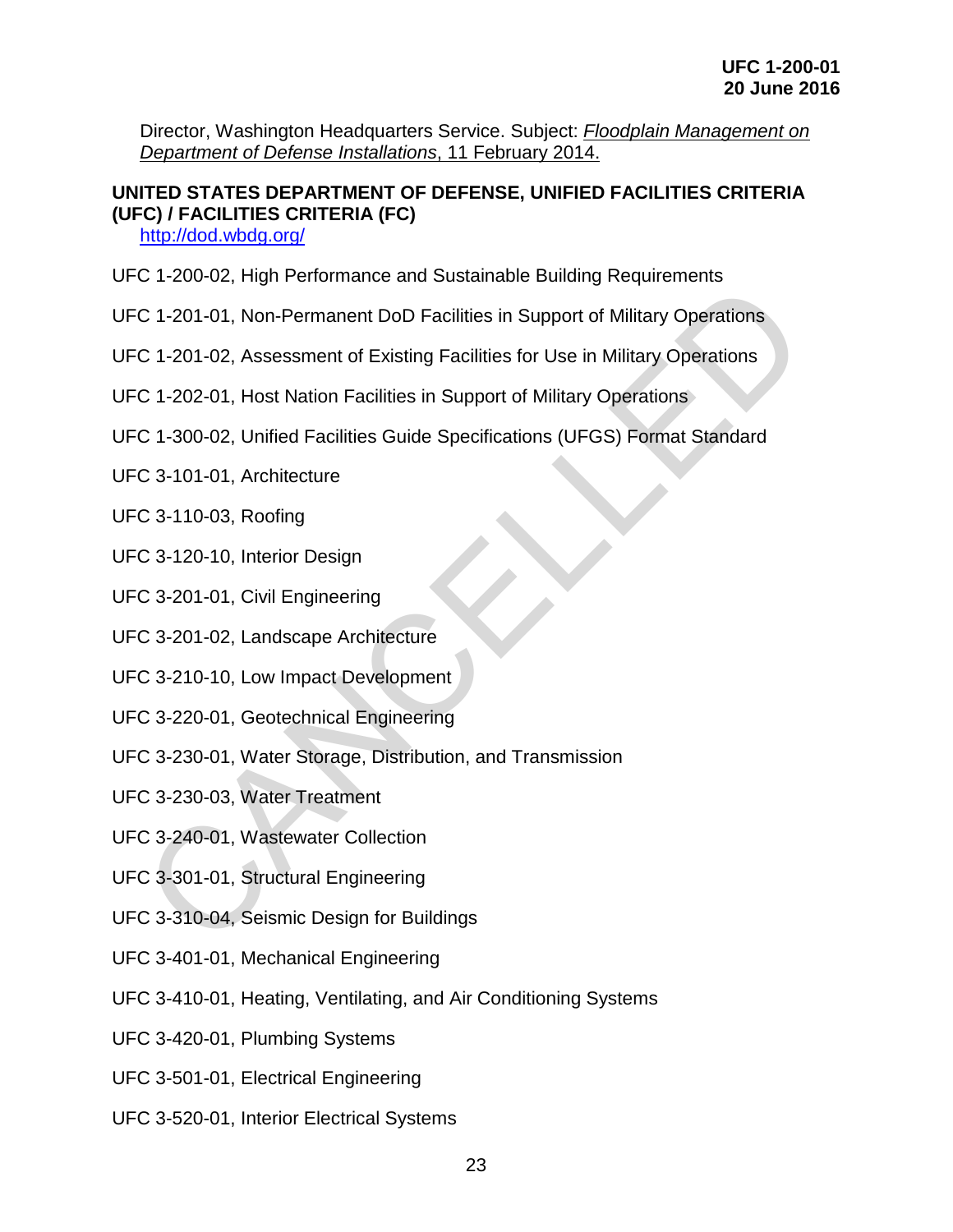Director, Washington Headquarters Service. Subject: *Floodplain Management on Department of Defense Installations*, 11 February 2014.

#### **UNITED STATES DEPARTMENT OF DEFENSE, UNIFIED FACILITIES CRITERIA (UFC) / FACILITIES CRITERIA (FC)**

<http://dod.wbdg.org/>

- UFC 1-200-02, High Performance and Sustainable Building Requirements
- UFC 1-201-01, Non-Permanent DoD Facilities in Support of Military Operations C 1-201-01, Non-Permanent DoD Facilities in Support of Military Operations<br>
C 1-201-02, Assessment of Existing Facilities for Use in Military Operations<br>
C 1-202-01, Host Nation Facilities in Support of Military Operations
- UFC 1-201-02, Assessment of Existing Facilities for Use in Military Operations
- UFC 1-202-01, Host Nation Facilities in Support of Military Operations
- UFC 1-300-02, Unified Facilities Guide Specifications (UFGS) Format Standard
- UFC 3-101-01, Architecture
- UFC 3-110-03, Roofing
- UFC 3-120-10, Interior Design
- UFC 3-201-01, Civil Engineering
- UFC 3-201-02, Landscape Architecture
- UFC 3-210-10, Low Impact Development
- UFC 3-220-01, Geotechnical Engineering
- UFC 3-230-01, Water Storage, Distribution, and Transmission
- UFC 3-230-03, Water Treatment
- UFC 3-240-01, Wastewater Collection
- UFC 3-301-01, Structural Engineering
- UFC 3-310-04, Seismic Design for Buildings
- UFC 3-401-01, Mechanical Engineering
- UFC 3-410-01, Heating, Ventilating, and Air Conditioning Systems
- UFC 3-420-01, Plumbing Systems
- UFC 3-501-01, Electrical Engineering
- UFC 3-520-01, Interior Electrical Systems